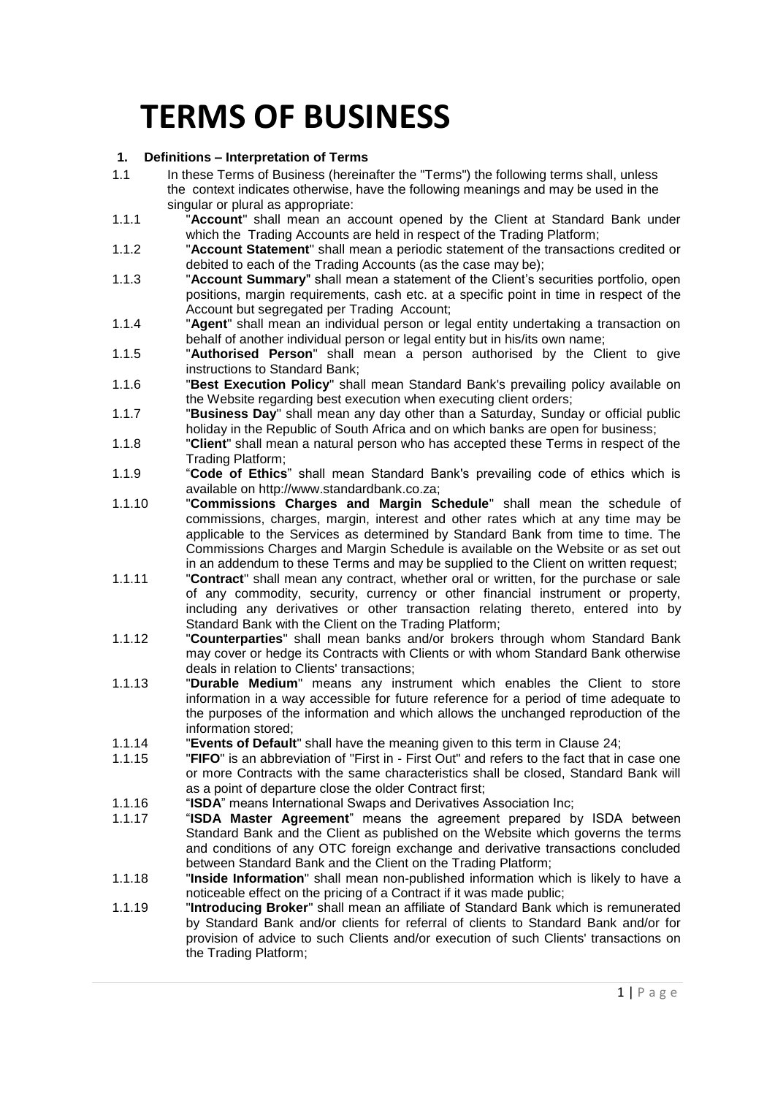# **TERMS OF BUSINESS**

# **1. Definitions – Interpretation of Terms**

- 1.1 In these Terms of Business (hereinafter the "Terms") the following terms shall, unless the context indicates otherwise, have the following meanings and may be used in the singular or plural as appropriate:
- 1.1.1 "**Account**" shall mean an account opened by the Client at Standard Bank under which the Trading Accounts are held in respect of the Trading Platform;
- 1.1.2 "**Account Statement**" shall mean a periodic statement of the transactions credited or debited to each of the Trading Accounts (as the case may be);
- 1.1.3 "**Account Summary**" shall mean a statement of the Client's securities portfolio, open positions, margin requirements, cash etc. at a specific point in time in respect of the Account but segregated per Trading Account;
- 1.1.4 "**Agent**" shall mean an individual person or legal entity undertaking a transaction on behalf of another individual person or legal entity but in his/its own name:
- 1.1.5 "**Authorised Person**" shall mean a person authorised by the Client to give instructions to Standard Bank;
- 1.1.6 "**Best Execution Policy**" shall mean Standard Bank's prevailing policy available on the Website regarding best execution when executing client orders;
- 1.1.7 "**Business Day**" shall mean any day other than a Saturday, Sunday or official public holiday in the Republic of South Africa and on which banks are open for business;
- 1.1.8 "**Client**" shall mean a natural person who has accepted these Terms in respect of the Trading Platform;
- 1.1.9 "**Code of Ethics**" shall mean Standard Bank's prevailing code of ethics which is available on http://www.standardbank.co.za;
- 1.1.10 "**Commissions Charges and Margin Schedule**" shall mean the schedule of commissions, charges, margin, interest and other rates which at any time may be applicable to the Services as determined by Standard Bank from time to time. The Commissions Charges and Margin Schedule is available on the Website or as set out in an addendum to these Terms and may be supplied to the Client on written request;
- 1.1.11 "**Contract**" shall mean any contract, whether oral or written, for the purchase or sale of any commodity, security, currency or other financial instrument or property, including any derivatives or other transaction relating thereto, entered into by Standard Bank with the Client on the Trading Platform;
- 1.1.12 "**Counterparties**" shall mean banks and/or brokers through whom Standard Bank may cover or hedge its Contracts with Clients or with whom Standard Bank otherwise deals in relation to Clients' transactions;
- 1.1.13 "**Durable Medium**" means any instrument which enables the Client to store information in a way accessible for future reference for a period of time adequate to the purposes of the information and which allows the unchanged reproduction of the information stored;
- 1.1.14 "**Events of Default**" shall have the meaning given to this term in Clause [24;](#page-18-0)
- 1.1.15 "**FIFO**" is an abbreviation of "First in First Out" and refers to the fact that in case one or more Contracts with the same characteristics shall be closed, Standard Bank will as a point of departure close the older Contract first;
- 1.1.16 "**ISDA**" means International Swaps and Derivatives Association Inc;
- 1.1.17 "**ISDA Master Agreement**" means the agreement prepared by ISDA between Standard Bank and the Client as published on the Website which governs the terms and conditions of any OTC foreign exchange and derivative transactions concluded between Standard Bank and the Client on the Trading Platform;
- 1.1.18 "**Inside Information**" shall mean non-published information which is likely to have a noticeable effect on the pricing of a Contract if it was made public;
- 1.1.19 "**Introducing Broker**" shall mean an affiliate of Standard Bank which is remunerated by Standard Bank and/or clients for referral of clients to Standard Bank and/or for provision of advice to such Clients and/or execution of such Clients' transactions on the Trading Platform;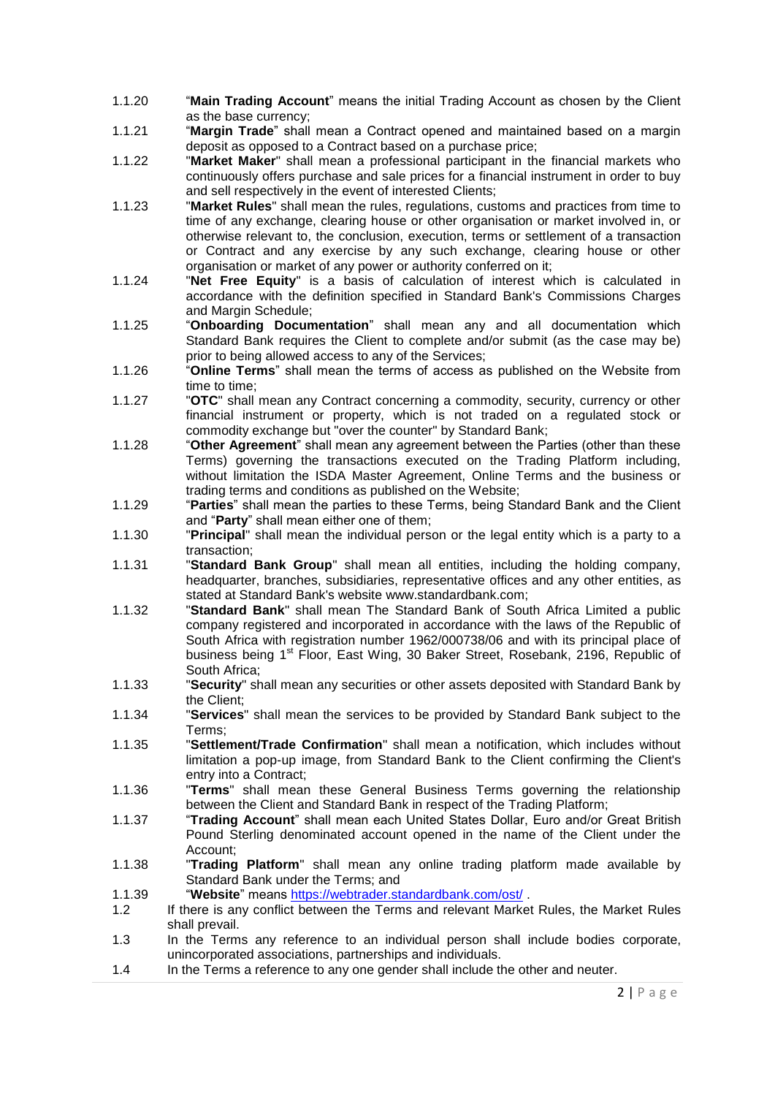- 1.1.20 "**Main Trading Account**" means the initial Trading Account as chosen by the Client as the base currency;
- 1.1.21 "**Margin Trade**" shall mean a Contract opened and maintained based on a margin deposit as opposed to a Contract based on a purchase price;
- 1.1.22 "**Market Maker**" shall mean a professional participant in the financial markets who continuously offers purchase and sale prices for a financial instrument in order to buy and sell respectively in the event of interested Clients;
- 1.1.23 "**Market Rules**" shall mean the rules, regulations, customs and practices from time to time of any exchange, clearing house or other organisation or market involved in, or otherwise relevant to, the conclusion, execution, terms or settlement of a transaction or Contract and any exercise by any such exchange, clearing house or other organisation or market of any power or authority conferred on it;
- 1.1.24 "**Net Free Equity**" is a basis of calculation of interest which is calculated in accordance with the definition specified in Standard Bank's Commissions Charges and Margin Schedule;
- 1.1.25 "**Onboarding Documentation**" shall mean any and all documentation which Standard Bank requires the Client to complete and/or submit (as the case may be) prior to being allowed access to any of the Services;
- 1.1.26 "**Online Terms**" shall mean the terms of access as published on the Website from time to time;
- 1.1.27 "**OTC**" shall mean any Contract concerning a commodity, security, currency or other financial instrument or property, which is not traded on a regulated stock or commodity exchange but "over the counter" by Standard Bank;
- 1.1.28 "**Other Agreement**" shall mean any agreement between the Parties (other than these Terms) governing the transactions executed on the Trading Platform including, without limitation the ISDA Master Agreement, Online Terms and the business or trading terms and conditions as published on the Website;
- 1.1.29 "**Parties**" shall mean the parties to these Terms, being Standard Bank and the Client and "**Party**" shall mean either one of them;
- 1.1.30 "**Principal**" shall mean the individual person or the legal entity which is a party to a transaction;
- 1.1.31 "**Standard Bank Group**" shall mean all entities, including the holding company, headquarter, branches, subsidiaries, representative offices and any other entities, as stated at Standard Bank's website www.standardbank.com;
- 1.1.32 "**Standard Bank**" shall mean The Standard Bank of South Africa Limited a public company registered and incorporated in accordance with the laws of the Republic of South Africa with registration number 1962/000738/06 and with its principal place of business being 1<sup>st</sup> Floor, East Wing, 30 Baker Street, Rosebank, 2196, Republic of South Africa;
- 1.1.33 "**Security**" shall mean any securities or other assets deposited with Standard Bank by the Client;
- 1.1.34 "**Services**" shall mean the services to be provided by Standard Bank subject to the Terms;
- 1.1.35 "**Settlement/Trade Confirmation**" shall mean a notification, which includes without limitation a pop-up image, from Standard Bank to the Client confirming the Client's entry into a Contract;
- 1.1.36 "**Terms**" shall mean these General Business Terms governing the relationship between the Client and Standard Bank in respect of the Trading Platform;
- 1.1.37 "**Trading Account**" shall mean each United States Dollar, Euro and/or Great British Pound Sterling denominated account opened in the name of the Client under the Account;
- 1.1.38 "**Trading Platform**" shall mean any online trading platform made available by Standard Bank under the Terms; and
- 1.1.39 "**Website**" means<https://webtrader.standardbank.com/ost/> .
- 1.2 If there is any conflict between the Terms and relevant Market Rules, the Market Rules shall prevail.
- 1.3 In the Terms any reference to an individual person shall include bodies corporate, unincorporated associations, partnerships and individuals.
- 1.4 In the Terms a reference to any one gender shall include the other and neuter.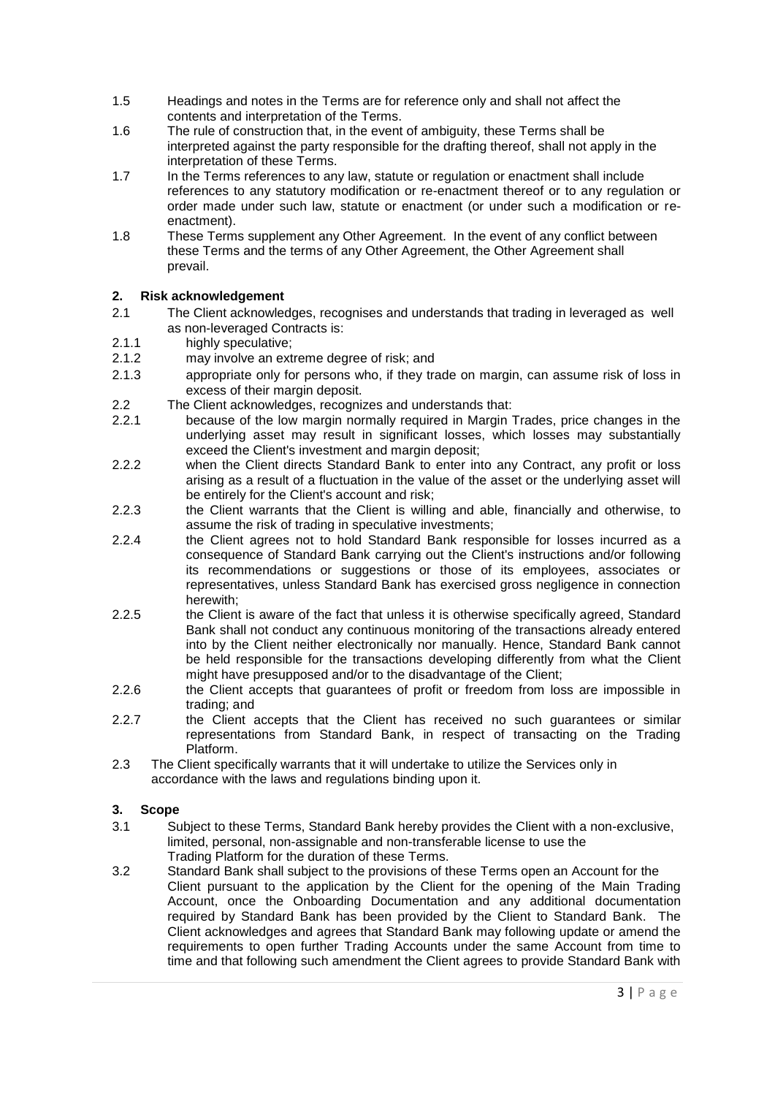- 1.5 Headings and notes in the Terms are for reference only and shall not affect the contents and interpretation of the Terms.
- 1.6 The rule of construction that, in the event of ambiguity, these Terms shall be interpreted against the party responsible for the drafting thereof, shall not apply in the interpretation of these Terms.
- 1.7 In the Terms references to any law, statute or regulation or enactment shall include references to any statutory modification or re-enactment thereof or to any regulation or order made under such law, statute or enactment (or under such a modification or reenactment).
- 1.8 These Terms supplement any Other Agreement. In the event of any conflict between these Terms and the terms of any Other Agreement, the Other Agreement shall prevail.

# **2. Risk acknowledgement**

- 2.1 The Client acknowledges, recognises and understands that trading in leveraged as well as non-leveraged Contracts is:
- 2.1.1 highly speculative;
- 2.1.2 may involve an extreme degree of risk; and
- 2.1.3 appropriate only for persons who, if they trade on margin, can assume risk of loss in excess of their margin deposit.
- 2.2 The Client acknowledges, recognizes and understands that:
- 2.2.1 because of the low margin normally required in Margin Trades, price changes in the underlying asset may result in significant losses, which losses may substantially exceed the Client's investment and margin deposit;
- 2.2.2 when the Client directs Standard Bank to enter into any Contract, any profit or loss arising as a result of a fluctuation in the value of the asset or the underlying asset will be entirely for the Client's account and risk;
- 2.2.3 the Client warrants that the Client is willing and able, financially and otherwise, to assume the risk of trading in speculative investments;
- 2.2.4 the Client agrees not to hold Standard Bank responsible for losses incurred as a consequence of Standard Bank carrying out the Client's instructions and/or following its recommendations or suggestions or those of its employees, associates or representatives, unless Standard Bank has exercised gross negligence in connection herewith;
- 2.2.5 the Client is aware of the fact that unless it is otherwise specifically agreed, Standard Bank shall not conduct any continuous monitoring of the transactions already entered into by the Client neither electronically nor manually. Hence, Standard Bank cannot be held responsible for the transactions developing differently from what the Client might have presupposed and/or to the disadvantage of the Client;
- 2.2.6 the Client accepts that guarantees of profit or freedom from loss are impossible in trading; and
- 2.2.7 the Client accepts that the Client has received no such guarantees or similar representations from Standard Bank, in respect of transacting on the Trading Platform.
- 2.3 The Client specifically warrants that it will undertake to utilize the Services only in accordance with the laws and regulations binding upon it.

## **3. Scope**

- 3.1 Subject to these Terms, Standard Bank hereby provides the Client with a non-exclusive, limited, personal, non-assignable and non-transferable license to use the Trading Platform for the duration of these Terms.
- 3.2 Standard Bank shall subject to the provisions of these Terms open an Account for the Client pursuant to the application by the Client for the opening of the Main Trading Account, once the Onboarding Documentation and any additional documentation required by Standard Bank has been provided by the Client to Standard Bank. The Client acknowledges and agrees that Standard Bank may following update or amend the requirements to open further Trading Accounts under the same Account from time to time and that following such amendment the Client agrees to provide Standard Bank with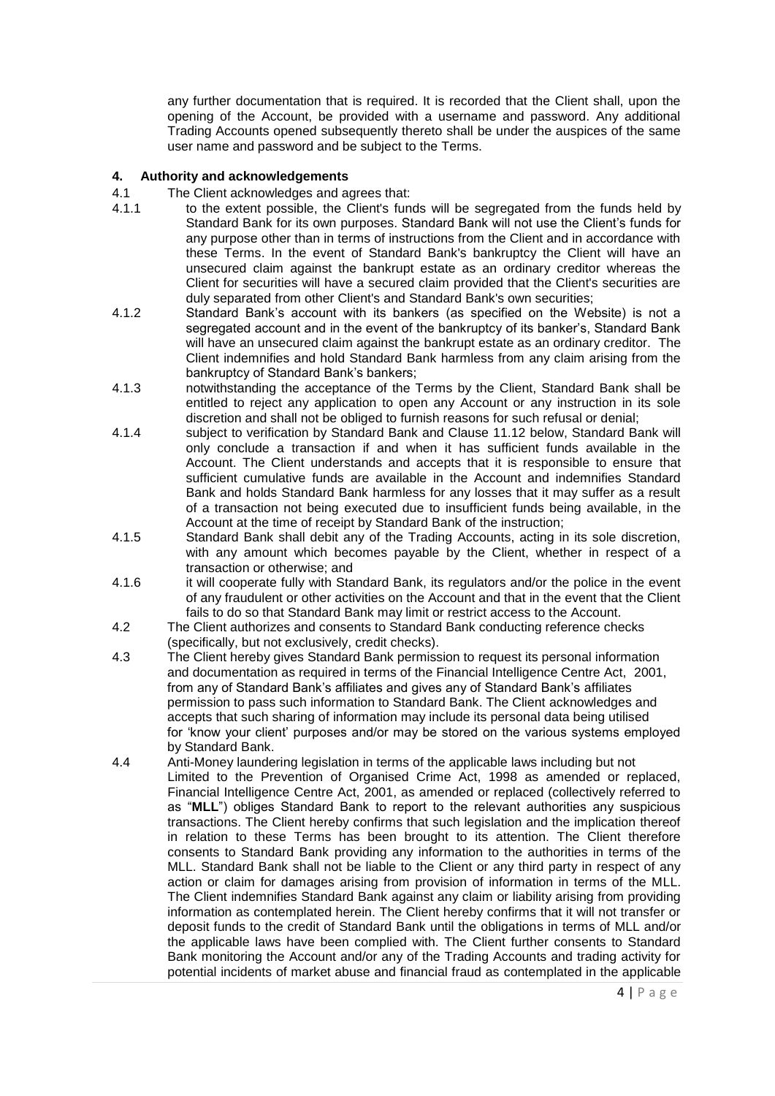any further documentation that is required. It is recorded that the Client shall, upon the opening of the Account, be provided with a username and password. Any additional Trading Accounts opened subsequently thereto shall be under the auspices of the same user name and password and be subject to the Terms.

# **4. Authority and acknowledgements**

- 4.1 The Client acknowledges and agrees that:
- 4.1.1 to the extent possible, the Client's funds will be segregated from the funds held by Standard Bank for its own purposes. Standard Bank will not use the Client's funds for any purpose other than in terms of instructions from the Client and in accordance with these Terms. In the event of Standard Bank's bankruptcy the Client will have an unsecured claim against the bankrupt estate as an ordinary creditor whereas the Client for securities will have a secured claim provided that the Client's securities are duly separated from other Client's and Standard Bank's own securities;
- 4.1.2 Standard Bank's account with its bankers (as specified on the Website) is not a segregated account and in the event of the bankruptcy of its banker's, Standard Bank will have an unsecured claim against the bankrupt estate as an ordinary creditor. The Client indemnifies and hold Standard Bank harmless from any claim arising from the bankruptcy of Standard Bank's bankers;
- 4.1.3 notwithstanding the acceptance of the Terms by the Client, Standard Bank shall be entitled to reject any application to open any Account or any instruction in its sole discretion and shall not be obliged to furnish reasons for such refusal or denial;
- 4.1.4 subject to verification by Standard Bank and Clause [11.12](#page-12-0) below, Standard Bank will only conclude a transaction if and when it has sufficient funds available in the Account. The Client understands and accepts that it is responsible to ensure that sufficient cumulative funds are available in the Account and indemnifies Standard Bank and holds Standard Bank harmless for any losses that it may suffer as a result of a transaction not being executed due to insufficient funds being available, in the Account at the time of receipt by Standard Bank of the instruction;
- 4.1.5 Standard Bank shall debit any of the Trading Accounts, acting in its sole discretion, with any amount which becomes payable by the Client, whether in respect of a transaction or otherwise; and
- 4.1.6 it will cooperate fully with Standard Bank, its regulators and/or the police in the event of any fraudulent or other activities on the Account and that in the event that the Client fails to do so that Standard Bank may limit or restrict access to the Account.
- 4.2 The Client authorizes and consents to Standard Bank conducting reference checks (specifically, but not exclusively, credit checks).
- 4.3 The Client hereby gives Standard Bank permission to request its personal information and documentation as required in terms of the Financial Intelligence Centre Act, 2001, from any of Standard Bank's affiliates and gives any of Standard Bank's affiliates permission to pass such information to Standard Bank. The Client acknowledges and accepts that such sharing of information may include its personal data being utilised for 'know your client' purposes and/or may be stored on the various systems employed by Standard Bank.
- 4.4 Anti-Money laundering legislation in terms of the applicable laws including but not Limited to the Prevention of Organised Crime Act, 1998 as amended or replaced, Financial Intelligence Centre Act, 2001, as amended or replaced (collectively referred to as "**MLL**") obliges Standard Bank to report to the relevant authorities any suspicious transactions. The Client hereby confirms that such legislation and the implication thereof in relation to these Terms has been brought to its attention. The Client therefore consents to Standard Bank providing any information to the authorities in terms of the MLL. Standard Bank shall not be liable to the Client or any third party in respect of any action or claim for damages arising from provision of information in terms of the MLL. The Client indemnifies Standard Bank against any claim or liability arising from providing information as contemplated herein. The Client hereby confirms that it will not transfer or deposit funds to the credit of Standard Bank until the obligations in terms of MLL and/or the applicable laws have been complied with. The Client further consents to Standard Bank monitoring the Account and/or any of the Trading Accounts and trading activity for potential incidents of market abuse and financial fraud as contemplated in the applicable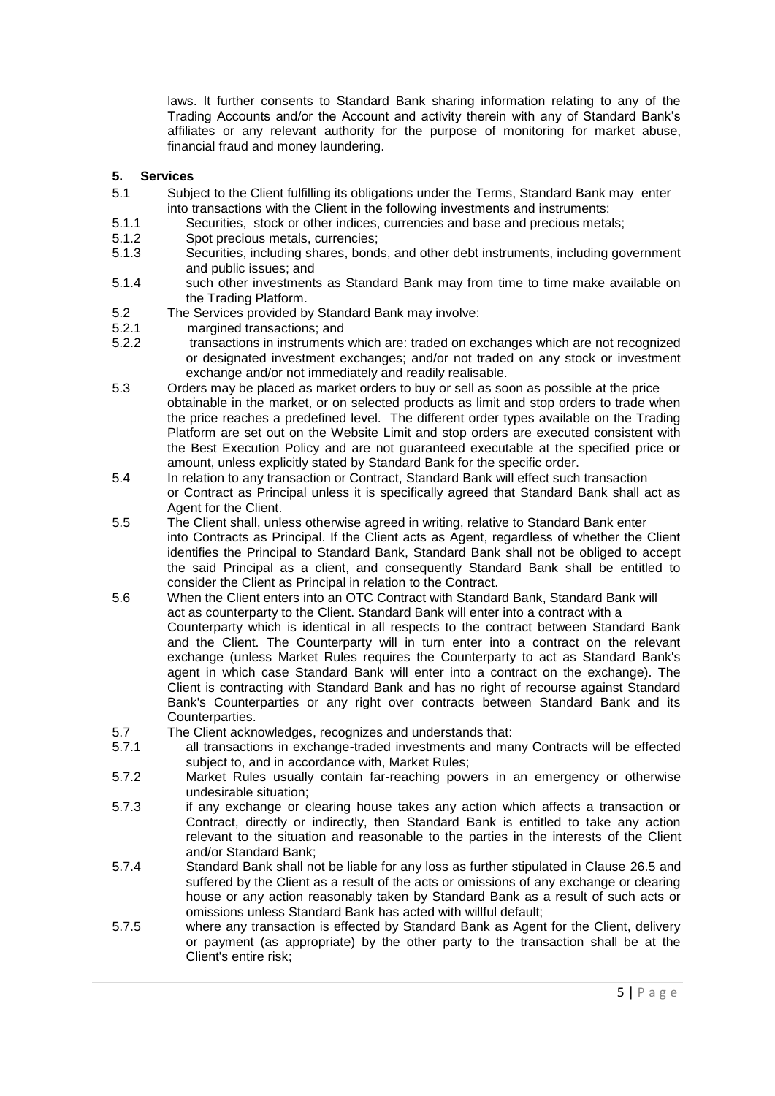laws. It further consents to Standard Bank sharing information relating to any of the Trading Accounts and/or the Account and activity therein with any of Standard Bank's affiliates or any relevant authority for the purpose of monitoring for market abuse, financial fraud and money laundering.

#### **5. Services**

- 5.1 Subject to the Client fulfilling its obligations under the Terms, Standard Bank may enter into transactions with the Client in the following investments and instruments:
- 5.1.1 Securities, stock or other indices, currencies and base and precious metals;
- 5.1.2 Spot precious metals, currencies;
- 5.1.3 Securities, including shares, bonds, and other debt instruments, including government and public issues; and
- 5.1.4 such other investments as Standard Bank may from time to time make available on the Trading Platform.
- 5.2 The Services provided by Standard Bank may involve:
- 5.2.1 margined transactions; and
- 5.2.2 transactions in instruments which are: traded on exchanges which are not recognized or designated investment exchanges; and/or not traded on any stock or investment exchange and/or not immediately and readily realisable.
- 5.3 Orders may be placed as market orders to buy or sell as soon as possible at the price obtainable in the market, or on selected products as limit and stop orders to trade when the price reaches a predefined level. The different order types available on the Trading Platform are set out on the Website Limit and stop orders are executed consistent with the Best Execution Policy and are not guaranteed executable at the specified price or amount, unless explicitly stated by Standard Bank for the specific order.
- 5.4 In relation to any transaction or Contract, Standard Bank will effect such transaction or Contract as Principal unless it is specifically agreed that Standard Bank shall act as Agent for the Client.
- 5.5 The Client shall, unless otherwise agreed in writing, relative to Standard Bank enter into Contracts as Principal. If the Client acts as Agent, regardless of whether the Client identifies the Principal to Standard Bank, Standard Bank shall not be obliged to accept the said Principal as a client, and consequently Standard Bank shall be entitled to consider the Client as Principal in relation to the Contract.
- 5.6 When the Client enters into an OTC Contract with Standard Bank, Standard Bank will act as counterparty to the Client. Standard Bank will enter into a contract with a Counterparty which is identical in all respects to the contract between Standard Bank and the Client. The Counterparty will in turn enter into a contract on the relevant exchange (unless Market Rules requires the Counterparty to act as Standard Bank's agent in which case Standard Bank will enter into a contract on the exchange). The Client is contracting with Standard Bank and has no right of recourse against Standard Bank's Counterparties or any right over contracts between Standard Bank and its Counterparties.
- 5.7 The Client acknowledges, recognizes and understands that:<br>5.7.1 all transactions in exchange-traded investments and ma
- all transactions in exchange-traded investments and many Contracts will be effected subject to, and in accordance with, Market Rules;
- 5.7.2 Market Rules usually contain far-reaching powers in an emergency or otherwise undesirable situation;
- 5.7.3 if any exchange or clearing house takes any action which affects a transaction or Contract, directly or indirectly, then Standard Bank is entitled to take any action relevant to the situation and reasonable to the parties in the interests of the Client and/or Standard Bank;
- 5.7.4 Standard Bank shall not be liable for any loss as further stipulated in Clause [26.5](#page-21-0) and suffered by the Client as a result of the acts or omissions of any exchange or clearing house or any action reasonably taken by Standard Bank as a result of such acts or omissions unless Standard Bank has acted with willful default;
- 5.7.5 where any transaction is effected by Standard Bank as Agent for the Client, delivery or payment (as appropriate) by the other party to the transaction shall be at the Client's entire risk;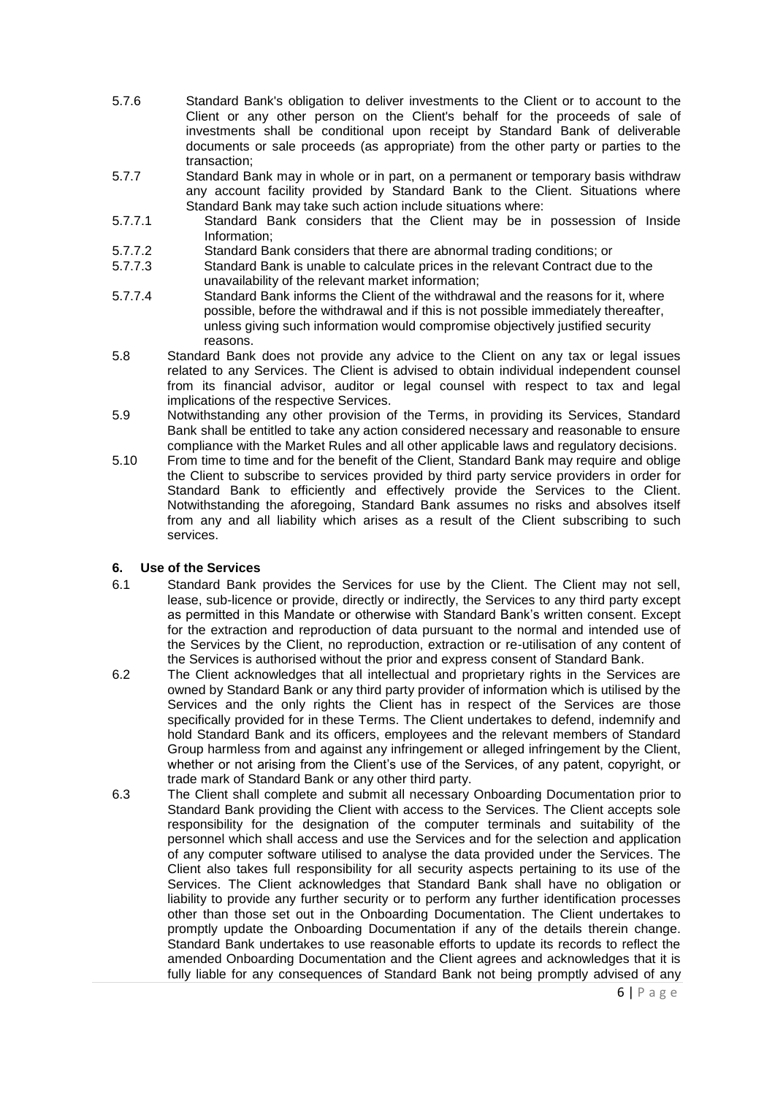- 5.7.6 Standard Bank's obligation to deliver investments to the Client or to account to the Client or any other person on the Client's behalf for the proceeds of sale of investments shall be conditional upon receipt by Standard Bank of deliverable documents or sale proceeds (as appropriate) from the other party or parties to the transaction;
- 5.7.7 Standard Bank may in whole or in part, on a permanent or temporary basis withdraw any account facility provided by Standard Bank to the Client. Situations where Standard Bank may take such action include situations where:
- 5.7.7.1 Standard Bank considers that the Client may be in possession of Inside Information;
- 5.7.7.2 Standard Bank considers that there are abnormal trading conditions; or
- 5.7.7.3 Standard Bank is unable to calculate prices in the relevant Contract due to the unavailability of the relevant market information;
- 5.7.7.4 Standard Bank informs the Client of the withdrawal and the reasons for it, where possible, before the withdrawal and if this is not possible immediately thereafter, unless giving such information would compromise objectively justified security reasons.
- 5.8 Standard Bank does not provide any advice to the Client on any tax or legal issues related to any Services. The Client is advised to obtain individual independent counsel from its financial advisor, auditor or legal counsel with respect to tax and legal implications of the respective Services.
- 5.9 Notwithstanding any other provision of the Terms, in providing its Services, Standard Bank shall be entitled to take any action considered necessary and reasonable to ensure compliance with the Market Rules and all other applicable laws and regulatory decisions.
- 5.10 From time to time and for the benefit of the Client, Standard Bank may require and oblige the Client to subscribe to services provided by third party service providers in order for Standard Bank to efficiently and effectively provide the Services to the Client. Notwithstanding the aforegoing, Standard Bank assumes no risks and absolves itself from any and all liability which arises as a result of the Client subscribing to such services.

# **6. Use of the Services**

- 6.1 Standard Bank provides the Services for use by the Client. The Client may not sell, lease, sub-licence or provide, directly or indirectly, the Services to any third party except as permitted in this Mandate or otherwise with Standard Bank's written consent. Except for the extraction and reproduction of data pursuant to the normal and intended use of the Services by the Client, no reproduction, extraction or re-utilisation of any content of the Services is authorised without the prior and express consent of Standard Bank.
- 6.2 The Client acknowledges that all intellectual and proprietary rights in the Services are owned by Standard Bank or any third party provider of information which is utilised by the Services and the only rights the Client has in respect of the Services are those specifically provided for in these Terms. The Client undertakes to defend, indemnify and hold Standard Bank and its officers, employees and the relevant members of Standard Group harmless from and against any infringement or alleged infringement by the Client, whether or not arising from the Client's use of the Services, of any patent, copyright, or trade mark of Standard Bank or any other third party.
- 6.3 The Client shall complete and submit all necessary Onboarding Documentation prior to Standard Bank providing the Client with access to the Services. The Client accepts sole responsibility for the designation of the computer terminals and suitability of the personnel which shall access and use the Services and for the selection and application of any computer software utilised to analyse the data provided under the Services. The Client also takes full responsibility for all security aspects pertaining to its use of the Services. The Client acknowledges that Standard Bank shall have no obligation or liability to provide any further security or to perform any further identification processes other than those set out in the Onboarding Documentation. The Client undertakes to promptly update the Onboarding Documentation if any of the details therein change. Standard Bank undertakes to use reasonable efforts to update its records to reflect the amended Onboarding Documentation and the Client agrees and acknowledges that it is fully liable for any consequences of Standard Bank not being promptly advised of any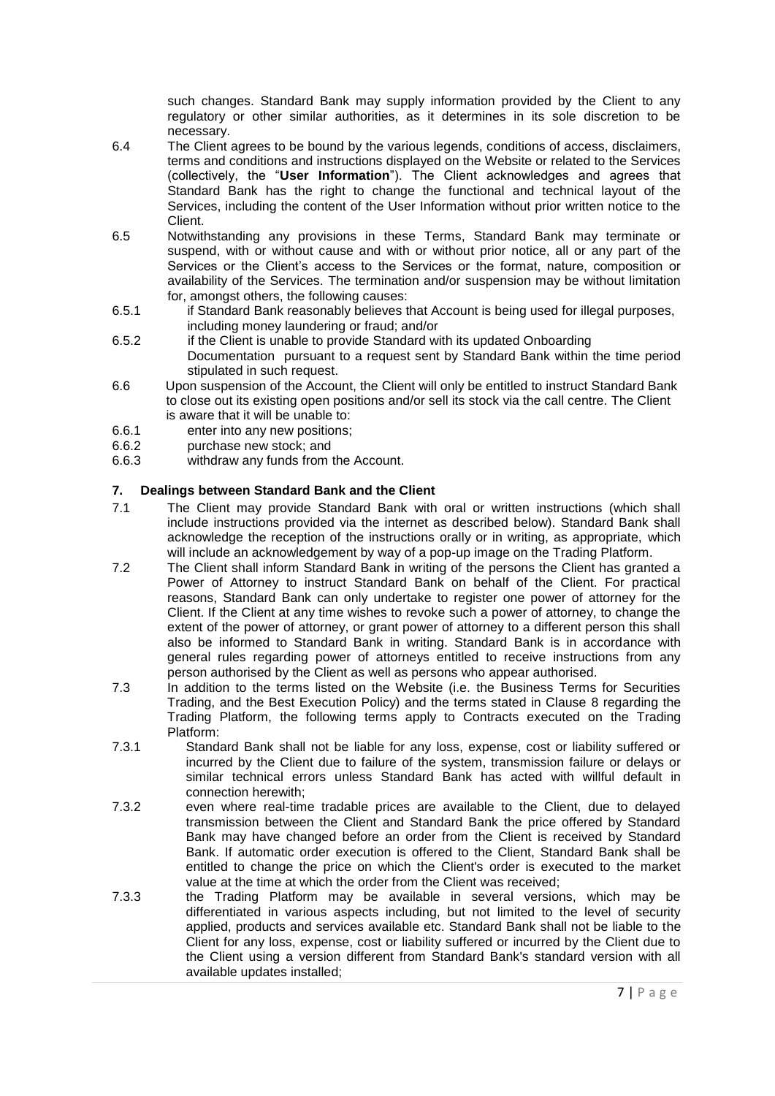such changes. Standard Bank may supply information provided by the Client to any regulatory or other similar authorities, as it determines in its sole discretion to be necessary.

- 6.4 The Client agrees to be bound by the various legends, conditions of access, disclaimers, terms and conditions and instructions displayed on the Website or related to the Services (collectively, the "**User Information**"). The Client acknowledges and agrees that Standard Bank has the right to change the functional and technical layout of the Services, including the content of the User Information without prior written notice to the Client.
- 6.5 Notwithstanding any provisions in these Terms, Standard Bank may terminate or suspend, with or without cause and with or without prior notice, all or any part of the Services or the Client's access to the Services or the format, nature, composition or availability of the Services. The termination and/or suspension may be without limitation for, amongst others, the following causes:
- 6.5.1 if Standard Bank reasonably believes that Account is being used for illegal purposes, including money laundering or fraud; and/or
- 6.5.2 if the Client is unable to provide Standard with its updated Onboarding Documentation pursuant to a request sent by Standard Bank within the time period stipulated in such request.
- 6.6 Upon suspension of the Account, the Client will only be entitled to instruct Standard Bank to close out its existing open positions and/or sell its stock via the call centre. The Client is aware that it will be unable to:
- 6.6.1 enter into any new positions;
- 6.6.2 purchase new stock; and
- 6.6.3 withdraw any funds from the Account.

# **7. Dealings between Standard Bank and the Client**

- 7.1 The Client may provide Standard Bank with oral or written instructions (which shall include instructions provided via the internet as described below). Standard Bank shall acknowledge the reception of the instructions orally or in writing, as appropriate, which will include an acknowledgement by way of a pop-up image on the Trading Platform.
- 7.2 The Client shall inform Standard Bank in writing of the persons the Client has granted a Power of Attorney to instruct Standard Bank on behalf of the Client. For practical reasons, Standard Bank can only undertake to register one power of attorney for the Client. If the Client at any time wishes to revoke such a power of attorney, to change the extent of the power of attorney, or grant power of attorney to a different person this shall also be informed to Standard Bank in writing. Standard Bank is in accordance with general rules regarding power of attorneys entitled to receive instructions from any person authorised by the Client as well as persons who appear authorised.
- 7.3 In addition to the terms listed on the Website (i.e. the Business Terms for Securities Trading, and the Best Execution Policy) and the terms stated in Clause [8](#page-8-0) regarding the Trading Platform, the following terms apply to Contracts executed on the Trading Platform:
- 7.3.1 Standard Bank shall not be liable for any loss, expense, cost or liability suffered or incurred by the Client due to failure of the system, transmission failure or delays or similar technical errors unless Standard Bank has acted with willful default in connection herewith;
- 7.3.2 even where real-time tradable prices are available to the Client, due to delayed transmission between the Client and Standard Bank the price offered by Standard Bank may have changed before an order from the Client is received by Standard Bank. If automatic order execution is offered to the Client, Standard Bank shall be entitled to change the price on which the Client's order is executed to the market value at the time at which the order from the Client was received;
- 7.3.3 the Trading Platform may be available in several versions, which may be differentiated in various aspects including, but not limited to the level of security applied, products and services available etc. Standard Bank shall not be liable to the Client for any loss, expense, cost or liability suffered or incurred by the Client due to the Client using a version different from Standard Bank's standard version with all available updates installed;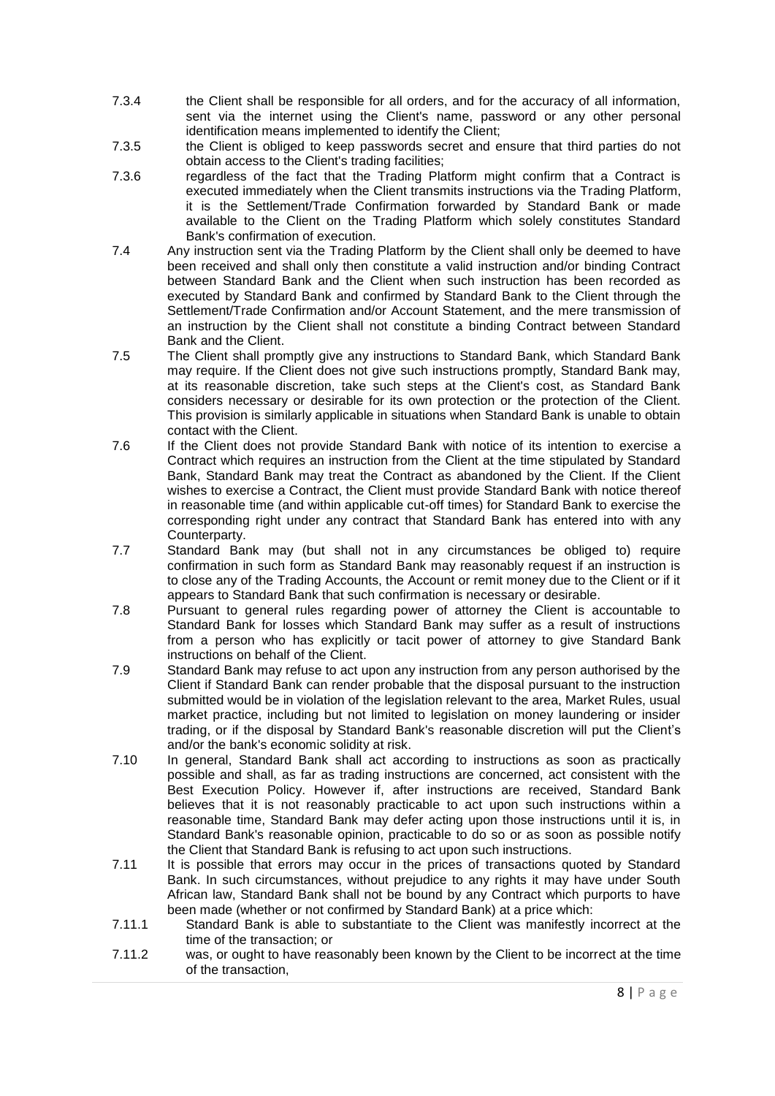- 7.3.4 the Client shall be responsible for all orders, and for the accuracy of all information, sent via the internet using the Client's name, password or any other personal identification means implemented to identify the Client;
- 7.3.5 the Client is obliged to keep passwords secret and ensure that third parties do not obtain access to the Client's trading facilities;
- 7.3.6 regardless of the fact that the Trading Platform might confirm that a Contract is executed immediately when the Client transmits instructions via the Trading Platform, it is the Settlement/Trade Confirmation forwarded by Standard Bank or made available to the Client on the Trading Platform which solely constitutes Standard Bank's confirmation of execution.
- 7.4 Any instruction sent via the Trading Platform by the Client shall only be deemed to have been received and shall only then constitute a valid instruction and/or binding Contract between Standard Bank and the Client when such instruction has been recorded as executed by Standard Bank and confirmed by Standard Bank to the Client through the Settlement/Trade Confirmation and/or Account Statement, and the mere transmission of an instruction by the Client shall not constitute a binding Contract between Standard Bank and the Client.
- 7.5 The Client shall promptly give any instructions to Standard Bank, which Standard Bank may require. If the Client does not give such instructions promptly, Standard Bank may, at its reasonable discretion, take such steps at the Client's cost, as Standard Bank considers necessary or desirable for its own protection or the protection of the Client. This provision is similarly applicable in situations when Standard Bank is unable to obtain contact with the Client.
- 7.6 If the Client does not provide Standard Bank with notice of its intention to exercise a Contract which requires an instruction from the Client at the time stipulated by Standard Bank, Standard Bank may treat the Contract as abandoned by the Client. If the Client wishes to exercise a Contract, the Client must provide Standard Bank with notice thereof in reasonable time (and within applicable cut-off times) for Standard Bank to exercise the corresponding right under any contract that Standard Bank has entered into with any Counterparty.
- 7.7 Standard Bank may (but shall not in any circumstances be obliged to) require confirmation in such form as Standard Bank may reasonably request if an instruction is to close any of the Trading Accounts, the Account or remit money due to the Client or if it appears to Standard Bank that such confirmation is necessary or desirable.
- 7.8 Pursuant to general rules regarding power of attorney the Client is accountable to Standard Bank for losses which Standard Bank may suffer as a result of instructions from a person who has explicitly or tacit power of attorney to give Standard Bank instructions on behalf of the Client.
- 7.9 Standard Bank may refuse to act upon any instruction from any person authorised by the Client if Standard Bank can render probable that the disposal pursuant to the instruction submitted would be in violation of the legislation relevant to the area, Market Rules, usual market practice, including but not limited to legislation on money laundering or insider trading, or if the disposal by Standard Bank's reasonable discretion will put the Client's and/or the bank's economic solidity at risk.
- 7.10 In general, Standard Bank shall act according to instructions as soon as practically possible and shall, as far as trading instructions are concerned, act consistent with the Best Execution Policy. However if, after instructions are received, Standard Bank believes that it is not reasonably practicable to act upon such instructions within a reasonable time, Standard Bank may defer acting upon those instructions until it is, in Standard Bank's reasonable opinion, practicable to do so or as soon as possible notify the Client that Standard Bank is refusing to act upon such instructions.
- 7.11 It is possible that errors may occur in the prices of transactions quoted by Standard Bank. In such circumstances, without prejudice to any rights it may have under South African law, Standard Bank shall not be bound by any Contract which purports to have been made (whether or not confirmed by Standard Bank) at a price which:
- 7.11.1 Standard Bank is able to substantiate to the Client was manifestly incorrect at the time of the transaction; or
- 7.11.2 was, or ought to have reasonably been known by the Client to be incorrect at the time of the transaction,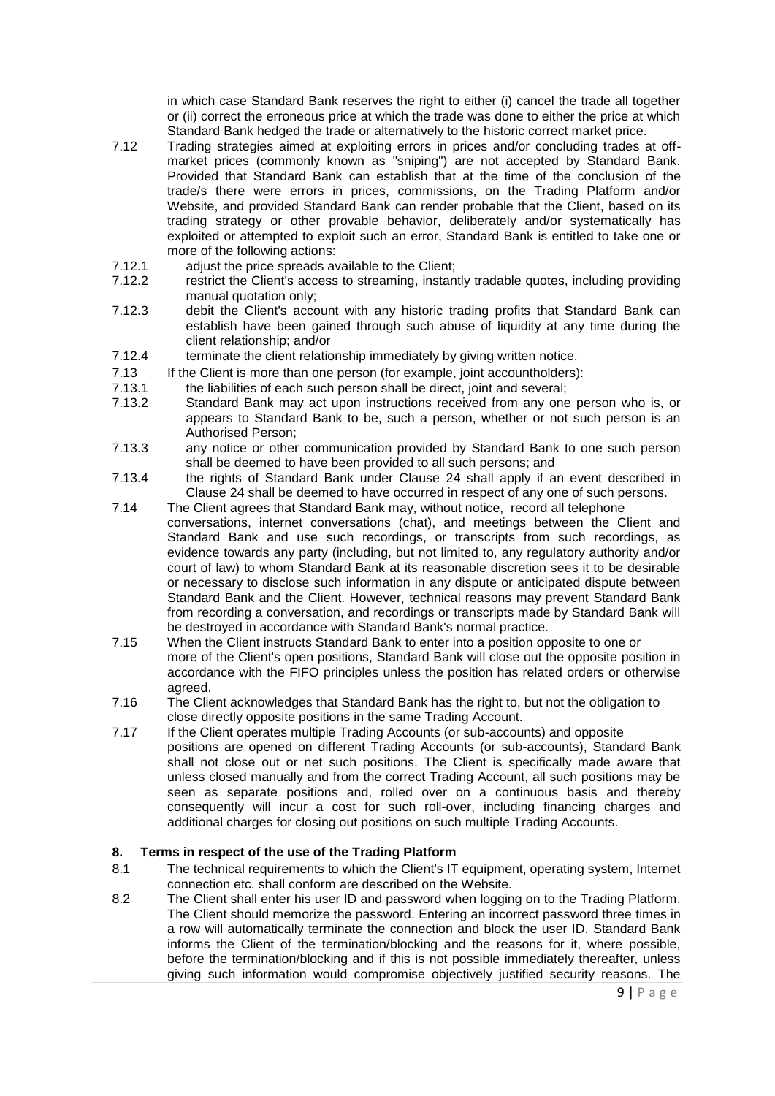in which case Standard Bank reserves the right to either (i) cancel the trade all together or (ii) correct the erroneous price at which the trade was done to either the price at which Standard Bank hedged the trade or alternatively to the historic correct market price.

- 7.12 Trading strategies aimed at exploiting errors in prices and/or concluding trades at offmarket prices (commonly known as "sniping") are not accepted by Standard Bank. Provided that Standard Bank can establish that at the time of the conclusion of the trade/s there were errors in prices, commissions, on the Trading Platform and/or Website, and provided Standard Bank can render probable that the Client, based on its trading strategy or other provable behavior, deliberately and/or systematically has exploited or attempted to exploit such an error. Standard Bank is entitled to take one or more of the following actions:
- 7.12.1 adjust the price spreads available to the Client;
- 7.12.2 restrict the Client's access to streaming, instantly tradable quotes, including providing manual quotation only;
- 7.12.3 debit the Client's account with any historic trading profits that Standard Bank can establish have been gained through such abuse of liquidity at any time during the client relationship; and/or
- 7.12.4 terminate the client relationship immediately by giving written notice.
- 7.13 If the Client is more than one person (for example, joint accountholders):
- 7.13.1 the liabilities of each such person shall be direct, joint and several;
- 7.13.2 Standard Bank may act upon instructions received from any one person who is, or appears to Standard Bank to be, such a person, whether or not such person is an Authorised Person;
- 7.13.3 any notice or other communication provided by Standard Bank to one such person shall be deemed to have been provided to all such persons; and
- 7.13.4 the rights of Standard Bank under Clause [24](#page-18-0) shall apply if an event described in Clause [24](#page-18-0) shall be deemed to have occurred in respect of any one of such persons.
- 7.14 The Client agrees that Standard Bank may, without notice, record all telephone conversations, internet conversations (chat), and meetings between the Client and Standard Bank and use such recordings, or transcripts from such recordings, as evidence towards any party (including, but not limited to, any regulatory authority and/or court of law) to whom Standard Bank at its reasonable discretion sees it to be desirable or necessary to disclose such information in any dispute or anticipated dispute between Standard Bank and the Client. However, technical reasons may prevent Standard Bank from recording a conversation, and recordings or transcripts made by Standard Bank will be destroyed in accordance with Standard Bank's normal practice.
- 7.15 When the Client instructs Standard Bank to enter into a position opposite to one or more of the Client's open positions, Standard Bank will close out the opposite position in accordance with the FIFO principles unless the position has related orders or otherwise agreed.
- 7.16 The Client acknowledges that Standard Bank has the right to, but not the obligation to close directly opposite positions in the same Trading Account.
- 7.17 If the Client operates multiple Trading Accounts (or sub-accounts) and opposite positions are opened on different Trading Accounts (or sub-accounts), Standard Bank shall not close out or net such positions. The Client is specifically made aware that unless closed manually and from the correct Trading Account, all such positions may be seen as separate positions and, rolled over on a continuous basis and thereby consequently will incur a cost for such roll-over, including financing charges and additional charges for closing out positions on such multiple Trading Accounts.

## <span id="page-8-0"></span>**8. Terms in respect of the use of the Trading Platform**

- 8.1 The technical requirements to which the Client's IT equipment, operating system, Internet connection etc. shall conform are described on the Website.
- 8.2 The Client shall enter his user ID and password when logging on to the Trading Platform. The Client should memorize the password. Entering an incorrect password three times in a row will automatically terminate the connection and block the user ID. Standard Bank informs the Client of the termination/blocking and the reasons for it, where possible, before the termination/blocking and if this is not possible immediately thereafter, unless giving such information would compromise objectively justified security reasons. The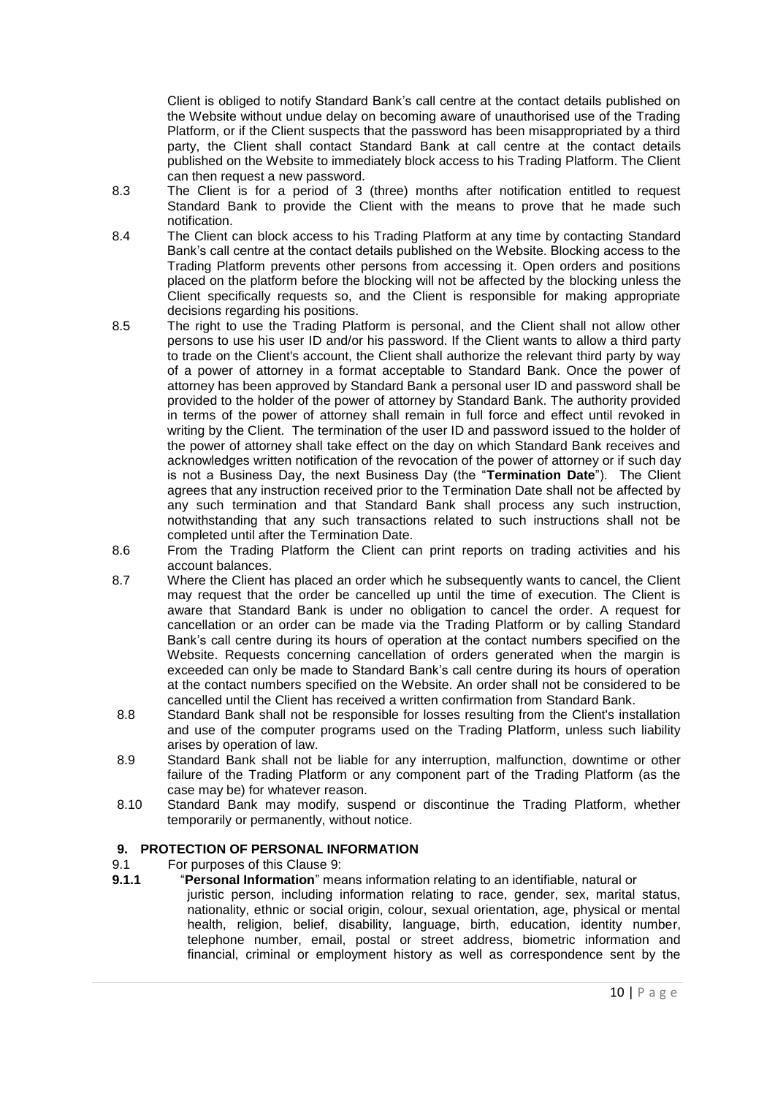Client is obliged to notify Standard Bank's call centre at the contact details published on the Website without undue delay on becoming aware of unauthorised use of the Trading Platform, or if the Client suspects that the password has been misappropriated by a third party, the Client shall contact Standard Bank at call centre at the contact details published on the Website to immediately block access to his Trading Platform. The Client can then request a new password.

- 8.3 The Client is for a period of 3 (three) months after notification entitled to request Standard Bank to provide the Client with the means to prove that he made such notification.
- 8.4 The Client can block access to his Trading Platform at any time by contacting Standard Bank's call centre at the contact details published on the Website. Blocking access to the Trading Platform prevents other persons from accessing it. Open orders and positions placed on the platform before the blocking will not be affected by the blocking unless the Client specifically requests so, and the Client is responsible for making appropriate decisions regarding his positions.
- 8.5 The right to use the Trading Platform is personal, and the Client shall not allow other persons to use his user ID and/or his password. If the Client wants to allow a third party to trade on the Client's account, the Client shall authorize the relevant third party by way of a power of attorney in a format acceptable to Standard Bank. Once the power of attorney has been approved by Standard Bank a personal user ID and password shall be provided to the holder of the power of attorney by Standard Bank. The authority provided in terms of the power of attorney shall remain in full force and effect until revoked in writing by the Client. The termination of the user ID and password issued to the holder of the power of attorney shall take effect on the day on which Standard Bank receives and acknowledges written notification of the revocation of the power of attorney or if such day is not a Business Day, the next Business Day (the "**Termination Date**"). The Client agrees that any instruction received prior to the Termination Date shall not be affected by any such termination and that Standard Bank shall process any such instruction, notwithstanding that any such transactions related to such instructions shall not be completed until after the Termination Date.
- 8.6 From the Trading Platform the Client can print reports on trading activities and his account balances.
- 8.7 Where the Client has placed an order which he subsequently wants to cancel, the Client may request that the order be cancelled up until the time of execution. The Client is aware that Standard Bank is under no obligation to cancel the order. A request for cancellation or an order can be made via the Trading Platform or by calling Standard Bank's call centre during its hours of operation at the contact numbers specified on the Website. Requests concerning cancellation of orders generated when the margin is exceeded can only be made to Standard Bank's call centre during its hours of operation at the contact numbers specified on the Website. An order shall not be considered to be cancelled until the Client has received a written confirmation from Standard Bank.
- 8.8 Standard Bank shall not be responsible for losses resulting from the Client's installation and use of the computer programs used on the Trading Platform, unless such liability arises by operation of law.
- 8.9 Standard Bank shall not be liable for any interruption, malfunction, downtime or other failure of the Trading Platform or any component part of the Trading Platform (as the case may be) for whatever reason.
- 8.10 Standard Bank may modify, suspend or discontinue the Trading Platform, whether temporarily or permanently, without notice.

## <span id="page-9-0"></span>**9. PROTECTION OF PERSONAL INFORMATION**

## 9.1 For purposes of this Clause [9:](#page-9-0)

**9.1.1** "**Personal Information**" means information relating to an identifiable, natural or juristic person, including information relating to race, gender, sex, marital status, nationality, ethnic or social origin, colour, sexual orientation, age, physical or mental health, religion, belief, disability, language, birth, education, identity number, telephone number, email, postal or street address, biometric information and financial, criminal or employment history as well as correspondence sent by the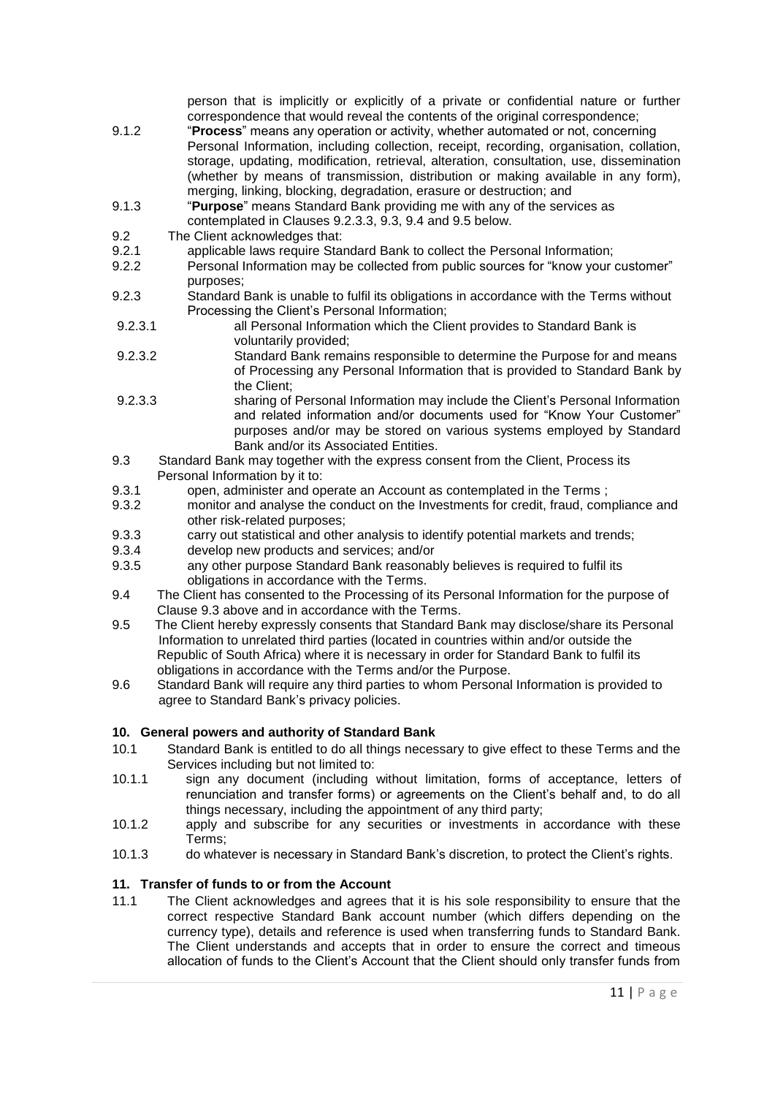person that is implicitly or explicitly of a private or confidential nature or further correspondence that would reveal the contents of the original correspondence;

- 9.1.2 "**Process**" means any operation or activity, whether automated or not, concerning Personal Information, including collection, receipt, recording, organisation, collation, storage, updating, modification, retrieval, alteration, consultation, use, dissemination (whether by means of transmission, distribution or making available in any form), merging, linking, blocking, degradation, erasure or destruction; and
- 9.1.3 "**Purpose**" means Standard Bank providing me with any of the services as contemplated in Clauses [9.2.3.3,](#page-10-0) [9.3,](#page-10-1) [9.4](#page-10-2) and [9.5](#page-10-3) below.
- 9.2 The Client acknowledges that:
- 9.2.1 applicable laws require Standard Bank to collect the Personal Information;<br>9.2.2 Personal Information may be collected from public sources for "know your
- Personal Information may be collected from public sources for "know your customer" purposes;
- 9.2.3 Standard Bank is unable to fulfil its obligations in accordance with the Terms without Processing the Client's Personal Information;
- 9.2.3.1 all Personal Information which the Client provides to Standard Bank is voluntarily provided;
- 9.2.3.2 Standard Bank remains responsible to determine the Purpose for and means of Processing any Personal Information that is provided to Standard Bank by the Client;
- <span id="page-10-0"></span>9.2.3.3 sharing of Personal Information may include the Client's Personal Information and related information and/or documents used for "Know Your Customer" purposes and/or may be stored on various systems employed by Standard Bank and/or its Associated Entities.
- <span id="page-10-1"></span>9.3 Standard Bank may together with the express consent from the Client, Process its Personal Information by it to:
- 9.3.1 open, administer and operate an Account as contemplated in the Terms;
- 9.3.2 monitor and analyse the conduct on the Investments for credit, fraud, compliance and other risk-related purposes;
- 9.3.3 carry out statistical and other analysis to identify potential markets and trends;
- 9.3.4 develop new products and services; and/or
- 9.3.5 any other purpose Standard Bank reasonably believes is required to fulfil its obligations in accordance with the Terms.
- <span id="page-10-2"></span>9.4 The Client has consented to the Processing of its Personal Information for the purpose of Clause [9.3](#page-10-1) above and in accordance with the Terms.
- <span id="page-10-3"></span>9.5 The Client hereby expressly consents that Standard Bank may disclose/share its Personal Information to unrelated third parties (located in countries within and/or outside the Republic of South Africa) where it is necessary in order for Standard Bank to fulfil its obligations in accordance with the Terms and/or the Purpose.
- 9.6 Standard Bank will require any third parties to whom Personal Information is provided to agree to Standard Bank's privacy policies.

## **10. General powers and authority of Standard Bank**

- 10.1 Standard Bank is entitled to do all things necessary to give effect to these Terms and the Services including but not limited to:
- 10.1.1 sign any document (including without limitation, forms of acceptance, letters of renunciation and transfer forms) or agreements on the Client's behalf and, to do all things necessary, including the appointment of any third party;
- 10.1.2 apply and subscribe for any securities or investments in accordance with these Terms;
- 10.1.3 do whatever is necessary in Standard Bank's discretion, to protect the Client's rights.

## **11. Transfer of funds to or from the Account**

11.1 The Client acknowledges and agrees that it is his sole responsibility to ensure that the correct respective Standard Bank account number (which differs depending on the currency type), details and reference is used when transferring funds to Standard Bank. The Client understands and accepts that in order to ensure the correct and timeous allocation of funds to the Client's Account that the Client should only transfer funds from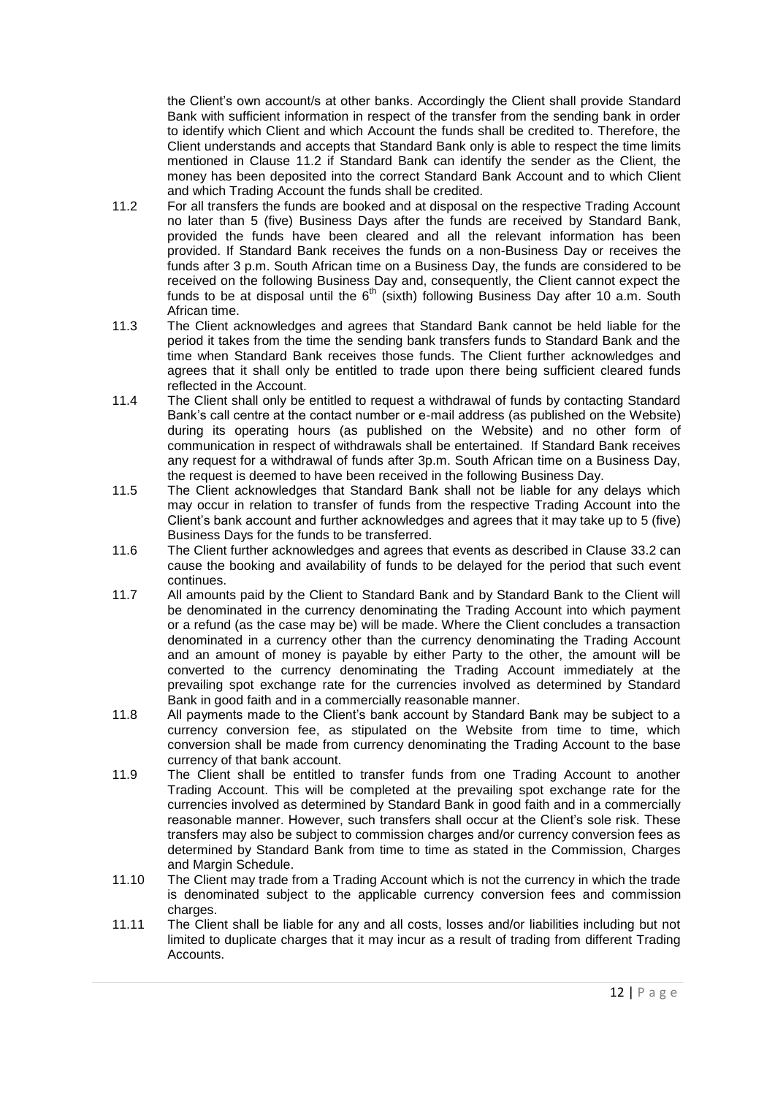the Client's own account/s at other banks. Accordingly the Client shall provide Standard Bank with sufficient information in respect of the transfer from the sending bank in order to identify which Client and which Account the funds shall be credited to. Therefore, the Client understands and accepts that Standard Bank only is able to respect the time limits mentioned in Clause [11.2](#page-11-0) if Standard Bank can identify the sender as the Client, the money has been deposited into the correct Standard Bank Account and to which Client and which Trading Account the funds shall be credited.

- <span id="page-11-0"></span>11.2 For all transfers the funds are booked and at disposal on the respective Trading Account no later than 5 (five) Business Days after the funds are received by Standard Bank, provided the funds have been cleared and all the relevant information has been provided. If Standard Bank receives the funds on a non-Business Day or receives the funds after 3 p.m. South African time on a Business Day, the funds are considered to be received on the following Business Day and, consequently, the Client cannot expect the funds to be at disposal until the  $6<sup>th</sup>$  (sixth) following Business Day after 10 a.m. South African time.
- 11.3 The Client acknowledges and agrees that Standard Bank cannot be held liable for the period it takes from the time the sending bank transfers funds to Standard Bank and the time when Standard Bank receives those funds. The Client further acknowledges and agrees that it shall only be entitled to trade upon there being sufficient cleared funds reflected in the Account.
- 11.4 The Client shall only be entitled to request a withdrawal of funds by contacting Standard Bank's call centre at the contact number or e-mail address (as published on the Website) during its operating hours (as published on the Website) and no other form of communication in respect of withdrawals shall be entertained. If Standard Bank receives any request for a withdrawal of funds after 3p.m. South African time on a Business Day, the request is deemed to have been received in the following Business Day.
- 11.5 The Client acknowledges that Standard Bank shall not be liable for any delays which may occur in relation to transfer of funds from the respective Trading Account into the Client's bank account and further acknowledges and agrees that it may take up to 5 (five) Business Days for the funds to be transferred.
- 11.6 The Client further acknowledges and agrees that events as described in Clause [33.2](#page-24-0) can cause the booking and availability of funds to be delayed for the period that such event continues.
- 11.7 All amounts paid by the Client to Standard Bank and by Standard Bank to the Client will be denominated in the currency denominating the Trading Account into which payment or a refund (as the case may be) will be made. Where the Client concludes a transaction denominated in a currency other than the currency denominating the Trading Account and an amount of money is payable by either Party to the other, the amount will be converted to the currency denominating the Trading Account immediately at the prevailing spot exchange rate for the currencies involved as determined by Standard Bank in good faith and in a commercially reasonable manner.
- 11.8 All payments made to the Client's bank account by Standard Bank may be subject to a currency conversion fee, as stipulated on the Website from time to time, which conversion shall be made from currency denominating the Trading Account to the base currency of that bank account.
- 11.9 The Client shall be entitled to transfer funds from one Trading Account to another Trading Account. This will be completed at the prevailing spot exchange rate for the currencies involved as determined by Standard Bank in good faith and in a commercially reasonable manner. However, such transfers shall occur at the Client's sole risk. These transfers may also be subject to commission charges and/or currency conversion fees as determined by Standard Bank from time to time as stated in the Commission, Charges and Margin Schedule.
- 11.10 The Client may trade from a Trading Account which is not the currency in which the trade is denominated subject to the applicable currency conversion fees and commission charges.
- 11.11 The Client shall be liable for any and all costs, losses and/or liabilities including but not limited to duplicate charges that it may incur as a result of trading from different Trading **Accounts**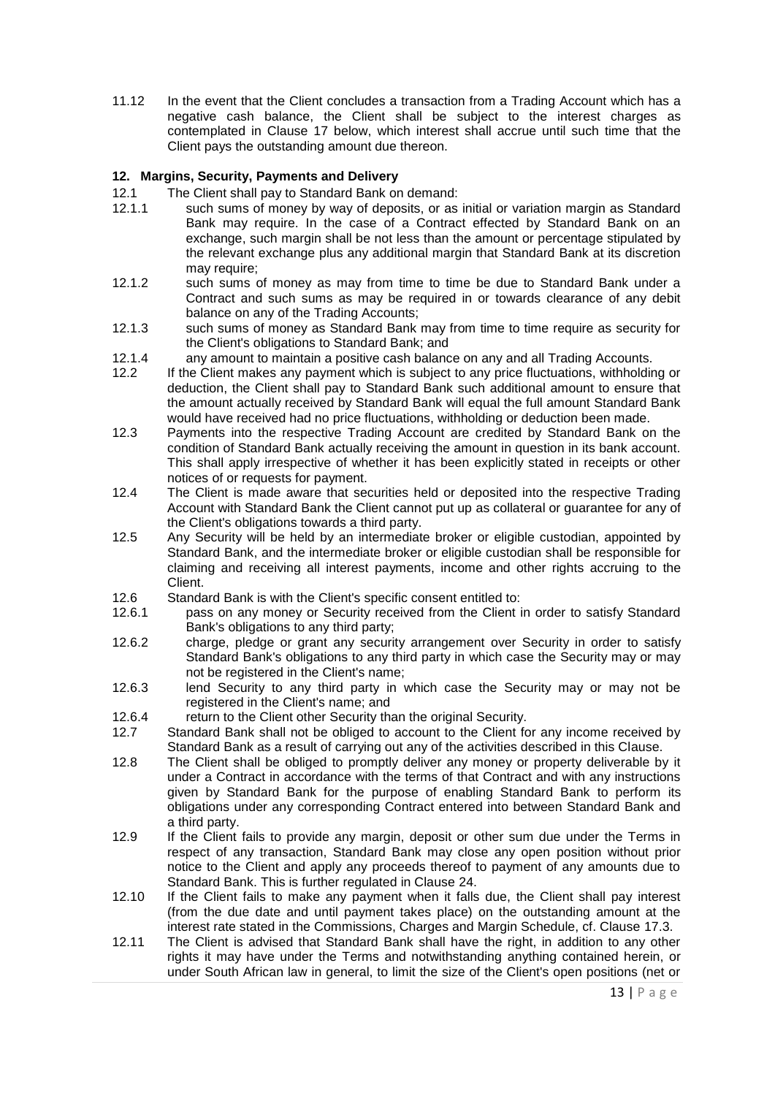<span id="page-12-0"></span>11.12 In the event that the Client concludes a transaction from a Trading Account which has a negative cash balance, the Client shall be subject to the interest charges as contemplated in Clause [17](#page-16-0) below, which interest shall accrue until such time that the Client pays the outstanding amount due thereon.

# **12. Margins, Security, Payments and Delivery**

- 12.1 The Client shall pay to Standard Bank on demand:
- 12.1.1 such sums of money by way of deposits, or as initial or variation margin as Standard Bank may require. In the case of a Contract effected by Standard Bank on an exchange, such margin shall be not less than the amount or percentage stipulated by the relevant exchange plus any additional margin that Standard Bank at its discretion may require:
- 12.1.2 such sums of money as may from time to time be due to Standard Bank under a Contract and such sums as may be required in or towards clearance of any debit balance on any of the Trading Accounts;
- 12.1.3 such sums of money as Standard Bank may from time to time require as security for the Client's obligations to Standard Bank; and
- 12.1.4 any amount to maintain a positive cash balance on any and all Trading Accounts.
- 12.2 If the Client makes any payment which is subject to any price fluctuations, withholding or deduction, the Client shall pay to Standard Bank such additional amount to ensure that the amount actually received by Standard Bank will equal the full amount Standard Bank would have received had no price fluctuations, withholding or deduction been made.
- 12.3 Payments into the respective Trading Account are credited by Standard Bank on the condition of Standard Bank actually receiving the amount in question in its bank account. This shall apply irrespective of whether it has been explicitly stated in receipts or other notices of or requests for payment.
- 12.4 The Client is made aware that securities held or deposited into the respective Trading Account with Standard Bank the Client cannot put up as collateral or guarantee for any of the Client's obligations towards a third party.
- 12.5 Any Security will be held by an intermediate broker or eligible custodian, appointed by Standard Bank, and the intermediate broker or eligible custodian shall be responsible for claiming and receiving all interest payments, income and other rights accruing to the Client.
- 12.6 Standard Bank is with the Client's specific consent entitled to:
- 12.6.1 pass on any money or Security received from the Client in order to satisfy Standard Bank's obligations to any third party;
- 12.6.2 charge, pledge or grant any security arrangement over Security in order to satisfy Standard Bank's obligations to any third party in which case the Security may or may not be registered in the Client's name;
- 12.6.3 lend Security to any third party in which case the Security may or may not be registered in the Client's name; and
- 12.6.4 return to the Client other Security than the original Security.<br>12.7 Standard Bank shall not be obliged to account to the Client fo
- Standard Bank shall not be obliged to account to the Client for any income received by Standard Bank as a result of carrying out any of the activities described in this Clause.
- 12.8 The Client shall be obliged to promptly deliver any money or property deliverable by it under a Contract in accordance with the terms of that Contract and with any instructions given by Standard Bank for the purpose of enabling Standard Bank to perform its obligations under any corresponding Contract entered into between Standard Bank and a third party.
- 12.9 If the Client fails to provide any margin, deposit or other sum due under the Terms in respect of any transaction, Standard Bank may close any open position without prior notice to the Client and apply any proceeds thereof to payment of any amounts due to Standard Bank. This is further regulated in Clause [24.](#page-18-0)
- 12.10 If the Client fails to make any payment when it falls due, the Client shall pay interest (from the due date and until payment takes place) on the outstanding amount at the interest rate stated in the Commissions, Charges and Margin Schedule, cf. Clause [17.3.](#page-16-1)
- 12.11 The Client is advised that Standard Bank shall have the right, in addition to any other rights it may have under the Terms and notwithstanding anything contained herein, or under South African law in general, to limit the size of the Client's open positions (net or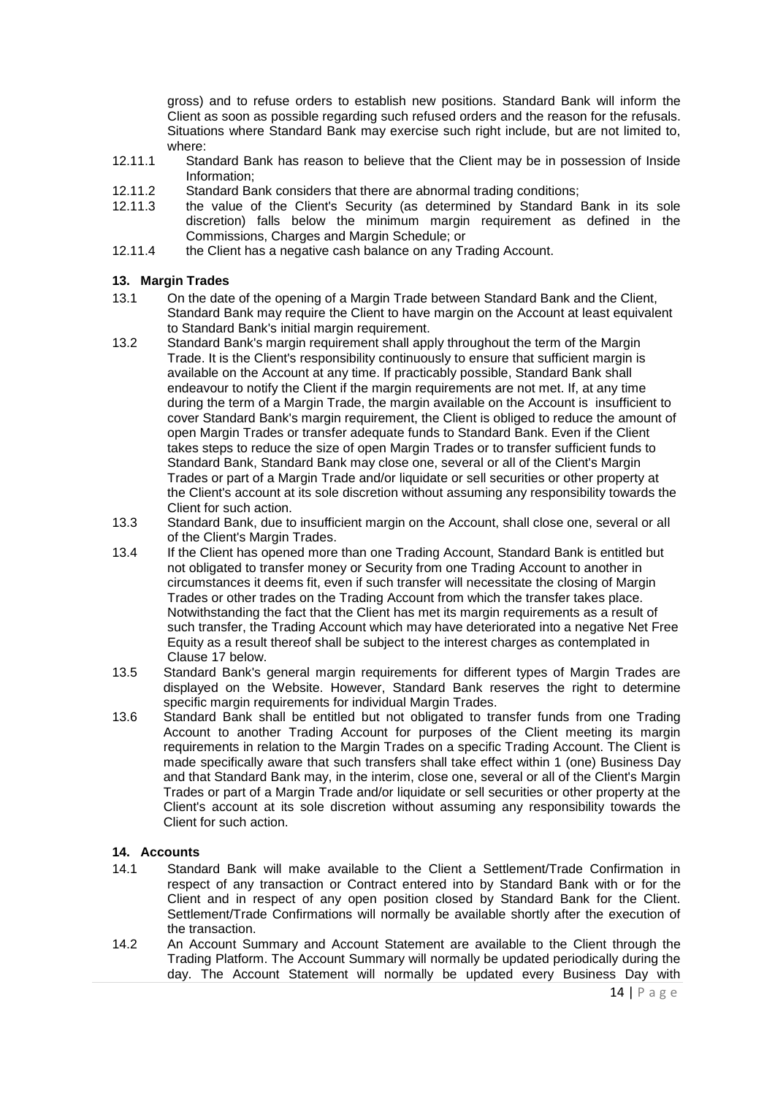gross) and to refuse orders to establish new positions. Standard Bank will inform the Client as soon as possible regarding such refused orders and the reason for the refusals. Situations where Standard Bank may exercise such right include, but are not limited to, where:

- 12.11.1 Standard Bank has reason to believe that the Client may be in possession of Inside Information;
- 12.11.2 Standard Bank considers that there are abnormal trading conditions;<br>12.11.3 the value of the Client's Security (as determined by Standard
- the value of the Client's Security (as determined by Standard Bank in its sole discretion) falls below the minimum margin requirement as defined in the Commissions, Charges and Margin Schedule; or
- 12.11.4 the Client has a negative cash balance on any Trading Account.

## <span id="page-13-0"></span>**13. Margin Trades**

- 13.1 On the date of the opening of a Margin Trade between Standard Bank and the Client, Standard Bank may require the Client to have margin on the Account at least equivalent to Standard Bank's initial margin requirement.
- 13.2 Standard Bank's margin requirement shall apply throughout the term of the Margin Trade. It is the Client's responsibility continuously to ensure that sufficient margin is available on the Account at any time. If practicably possible, Standard Bank shall endeavour to notify the Client if the margin requirements are not met. If, at any time during the term of a Margin Trade, the margin available on the Account is insufficient to cover Standard Bank's margin requirement, the Client is obliged to reduce the amount of open Margin Trades or transfer adequate funds to Standard Bank. Even if the Client takes steps to reduce the size of open Margin Trades or to transfer sufficient funds to Standard Bank, Standard Bank may close one, several or all of the Client's Margin Trades or part of a Margin Trade and/or liquidate or sell securities or other property at the Client's account at its sole discretion without assuming any responsibility towards the Client for such action.
- 13.3 Standard Bank, due to insufficient margin on the Account, shall close one, several or all of the Client's Margin Trades.
- 13.4 If the Client has opened more than one Trading Account, Standard Bank is entitled but not obligated to transfer money or Security from one Trading Account to another in circumstances it deems fit, even if such transfer will necessitate the closing of Margin Trades or other trades on the Trading Account from which the transfer takes place. Notwithstanding the fact that the Client has met its margin requirements as a result of such transfer, the Trading Account which may have deteriorated into a negative Net Free Equity as a result thereof shall be subject to the interest charges as contemplated in Clause [17](#page-16-0) below.
- 13.5 Standard Bank's general margin requirements for different types of Margin Trades are displayed on the Website. However, Standard Bank reserves the right to determine specific margin requirements for individual Margin Trades.
- 13.6 Standard Bank shall be entitled but not obligated to transfer funds from one Trading Account to another Trading Account for purposes of the Client meeting its margin requirements in relation to the Margin Trades on a specific Trading Account. The Client is made specifically aware that such transfers shall take effect within 1 (one) Business Day and that Standard Bank may, in the interim, close one, several or all of the Client's Margin Trades or part of a Margin Trade and/or liquidate or sell securities or other property at the Client's account at its sole discretion without assuming any responsibility towards the Client for such action.

## **14. Accounts**

- 14.1 Standard Bank will make available to the Client a Settlement/Trade Confirmation in respect of any transaction or Contract entered into by Standard Bank with or for the Client and in respect of any open position closed by Standard Bank for the Client. Settlement/Trade Confirmations will normally be available shortly after the execution of the transaction.
- 14.2 An Account Summary and Account Statement are available to the Client through the Trading Platform. The Account Summary will normally be updated periodically during the day. The Account Statement will normally be updated every Business Day with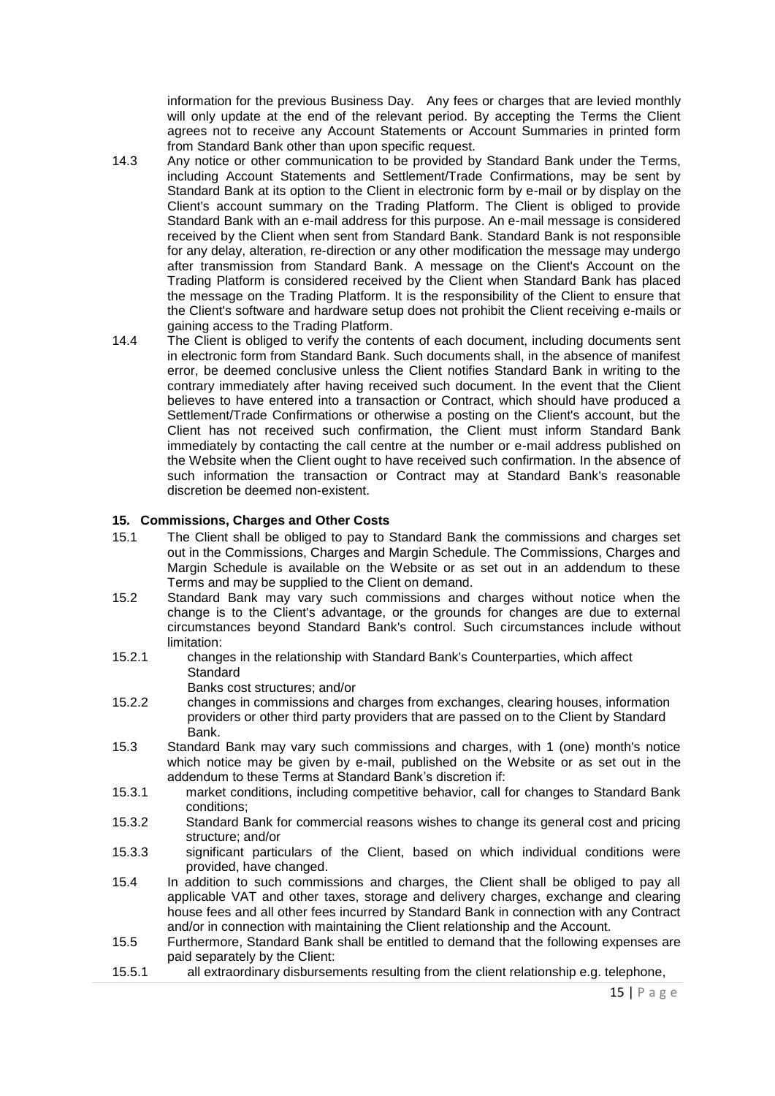information for the previous Business Day. Any fees or charges that are levied monthly will only update at the end of the relevant period. By accepting the Terms the Client agrees not to receive any Account Statements or Account Summaries in printed form from Standard Bank other than upon specific request.

- 14.3 Any notice or other communication to be provided by Standard Bank under the Terms, including Account Statements and Settlement/Trade Confirmations, may be sent by Standard Bank at its option to the Client in electronic form by e-mail or by display on the Client's account summary on the Trading Platform. The Client is obliged to provide Standard Bank with an e-mail address for this purpose. An e-mail message is considered received by the Client when sent from Standard Bank. Standard Bank is not responsible for any delay, alteration, re-direction or any other modification the message may undergo after transmission from Standard Bank. A message on the Client's Account on the Trading Platform is considered received by the Client when Standard Bank has placed the message on the Trading Platform. It is the responsibility of the Client to ensure that the Client's software and hardware setup does not prohibit the Client receiving e-mails or gaining access to the Trading Platform.
- 14.4 The Client is obliged to verify the contents of each document, including documents sent in electronic form from Standard Bank. Such documents shall, in the absence of manifest error, be deemed conclusive unless the Client notifies Standard Bank in writing to the contrary immediately after having received such document. In the event that the Client believes to have entered into a transaction or Contract, which should have produced a Settlement/Trade Confirmations or otherwise a posting on the Client's account, but the Client has not received such confirmation, the Client must inform Standard Bank immediately by contacting the call centre at the number or e-mail address published on the Website when the Client ought to have received such confirmation. In the absence of such information the transaction or Contract may at Standard Bank's reasonable discretion be deemed non-existent.

#### <span id="page-14-0"></span>**15. Commissions, Charges and Other Costs**

- 15.1 The Client shall be obliged to pay to Standard Bank the commissions and charges set out in the Commissions, Charges and Margin Schedule. The Commissions, Charges and Margin Schedule is available on the Website or as set out in an addendum to these Terms and may be supplied to the Client on demand.
- 15.2 Standard Bank may vary such commissions and charges without notice when the change is to the Client's advantage, or the grounds for changes are due to external circumstances beyond Standard Bank's control. Such circumstances include without limitation:
- 15.2.1 changes in the relationship with Standard Bank's Counterparties, which affect **Standard** 
	- Banks cost structures; and/or
- 15.2.2 changes in commissions and charges from exchanges, clearing houses, information providers or other third party providers that are passed on to the Client by Standard Bank.
- 15.3 Standard Bank may vary such commissions and charges, with 1 (one) month's notice which notice may be given by e-mail, published on the Website or as set out in the addendum to these Terms at Standard Bank's discretion if:
- 15.3.1 market conditions, including competitive behavior, call for changes to Standard Bank conditions;
- 15.3.2 Standard Bank for commercial reasons wishes to change its general cost and pricing structure; and/or
- 15.3.3 significant particulars of the Client, based on which individual conditions were provided, have changed.
- 15.4 In addition to such commissions and charges, the Client shall be obliged to pay all applicable VAT and other taxes, storage and delivery charges, exchange and clearing house fees and all other fees incurred by Standard Bank in connection with any Contract and/or in connection with maintaining the Client relationship and the Account.
- 15.5 Furthermore, Standard Bank shall be entitled to demand that the following expenses are paid separately by the Client:
- 15.5.1 all extraordinary disbursements resulting from the client relationship e.g. telephone,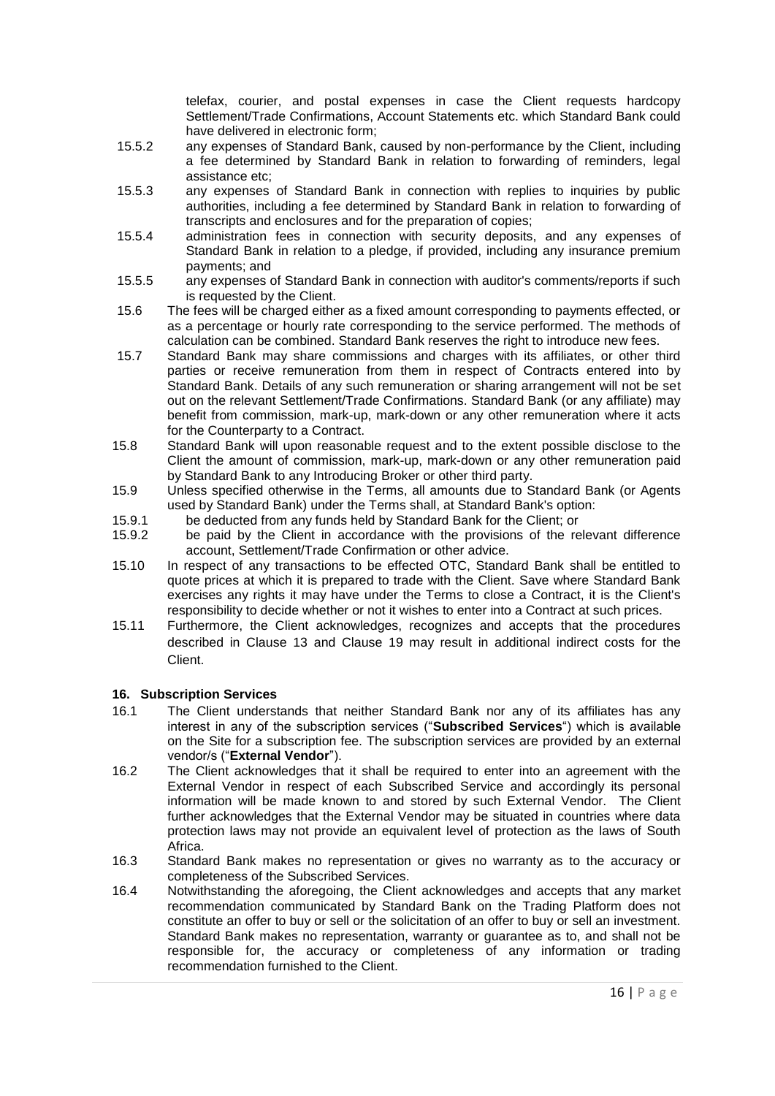telefax, courier, and postal expenses in case the Client requests hardcopy Settlement/Trade Confirmations, Account Statements etc. which Standard Bank could have delivered in electronic form;

- 15.5.2 any expenses of Standard Bank, caused by non-performance by the Client, including a fee determined by Standard Bank in relation to forwarding of reminders, legal assistance etc;
- 15.5.3 any expenses of Standard Bank in connection with replies to inquiries by public authorities, including a fee determined by Standard Bank in relation to forwarding of transcripts and enclosures and for the preparation of copies;
- 15.5.4 administration fees in connection with security deposits, and any expenses of Standard Bank in relation to a pledge, if provided, including any insurance premium payments; and
- 15.5.5 any expenses of Standard Bank in connection with auditor's comments/reports if such is requested by the Client.
- 15.6 The fees will be charged either as a fixed amount corresponding to payments effected, or as a percentage or hourly rate corresponding to the service performed. The methods of calculation can be combined. Standard Bank reserves the right to introduce new fees.
- 15.7 Standard Bank may share commissions and charges with its affiliates, or other third parties or receive remuneration from them in respect of Contracts entered into by Standard Bank. Details of any such remuneration or sharing arrangement will not be set out on the relevant Settlement/Trade Confirmations. Standard Bank (or any affiliate) may benefit from commission, mark-up, mark-down or any other remuneration where it acts for the Counterparty to a Contract.
- 15.8 Standard Bank will upon reasonable request and to the extent possible disclose to the Client the amount of commission, mark-up, mark-down or any other remuneration paid by Standard Bank to any Introducing Broker or other third party.
- 15.9 Unless specified otherwise in the Terms, all amounts due to Standard Bank (or Agents used by Standard Bank) under the Terms shall, at Standard Bank's option:
- 15.9.1 be deducted from any funds held by Standard Bank for the Client; or 15.9.2 be paid by the Client in accordance with the provisions of the re
- be paid by the Client in accordance with the provisions of the relevant difference account, Settlement/Trade Confirmation or other advice.
- 15.10 In respect of any transactions to be effected OTC, Standard Bank shall be entitled to quote prices at which it is prepared to trade with the Client. Save where Standard Bank exercises any rights it may have under the Terms to close a Contract, it is the Client's responsibility to decide whether or not it wishes to enter into a Contract at such prices.
- 15.11 Furthermore, the Client acknowledges, recognizes and accepts that the procedures described in Clause [13](#page-13-0) and Clause [19](#page-17-0) may result in additional indirect costs for the Client.

## **16. Subscription Services**

- 16.1 The Client understands that neither Standard Bank nor any of its affiliates has any interest in any of the subscription services ("**Subscribed Services**") which is available on the Site for a subscription fee. The subscription services are provided by an external vendor/s ("**External Vendor**").
- 16.2 The Client acknowledges that it shall be required to enter into an agreement with the External Vendor in respect of each Subscribed Service and accordingly its personal information will be made known to and stored by such External Vendor. The Client further acknowledges that the External Vendor may be situated in countries where data protection laws may not provide an equivalent level of protection as the laws of South Africa.
- 16.3 Standard Bank makes no representation or gives no warranty as to the accuracy or completeness of the Subscribed Services.
- 16.4 Notwithstanding the aforegoing, the Client acknowledges and accepts that any market recommendation communicated by Standard Bank on the Trading Platform does not constitute an offer to buy or sell or the solicitation of an offer to buy or sell an investment. Standard Bank makes no representation, warranty or guarantee as to, and shall not be responsible for, the accuracy or completeness of any information or trading recommendation furnished to the Client.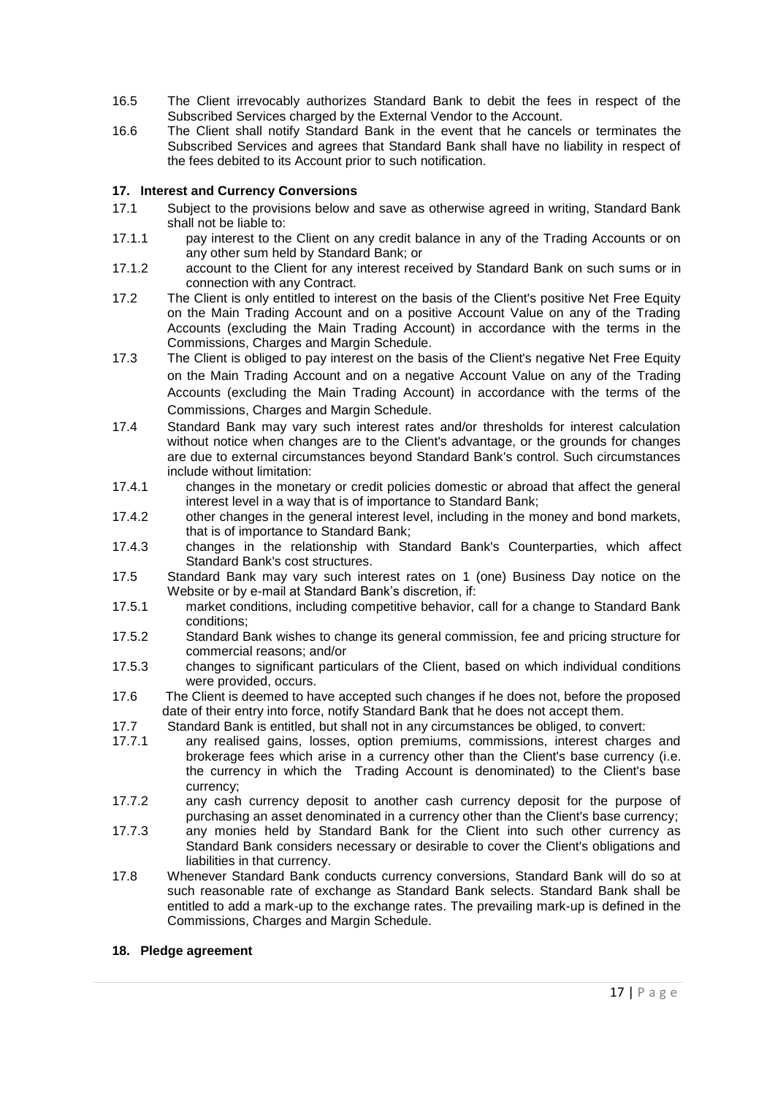- 16.5 The Client irrevocably authorizes Standard Bank to debit the fees in respect of the Subscribed Services charged by the External Vendor to the Account.
- 16.6 The Client shall notify Standard Bank in the event that he cancels or terminates the Subscribed Services and agrees that Standard Bank shall have no liability in respect of the fees debited to its Account prior to such notification.

# <span id="page-16-0"></span>**17. Interest and Currency Conversions**

- 17.1 Subject to the provisions below and save as otherwise agreed in writing, Standard Bank shall not be liable to:
- 17.1.1 pay interest to the Client on any credit balance in any of the Trading Accounts or on any other sum held by Standard Bank; or
- 17.1.2 account to the Client for any interest received by Standard Bank on such sums or in connection with any Contract.
- 17.2 The Client is only entitled to interest on the basis of the Client's positive Net Free Equity on the Main Trading Account and on a positive Account Value on any of the Trading Accounts (excluding the Main Trading Account) in accordance with the terms in the Commissions, Charges and Margin Schedule.
- <span id="page-16-1"></span>17.3 The Client is obliged to pay interest on the basis of the Client's negative Net Free Equity on the Main Trading Account and on a negative Account Value on any of the Trading Accounts (excluding the Main Trading Account) in accordance with the terms of the Commissions, Charges and Margin Schedule.
- 17.4 Standard Bank may vary such interest rates and/or thresholds for interest calculation without notice when changes are to the Client's advantage, or the grounds for changes are due to external circumstances beyond Standard Bank's control. Such circumstances include without limitation:
- 17.4.1 changes in the monetary or credit policies domestic or abroad that affect the general interest level in a way that is of importance to Standard Bank;
- 17.4.2 other changes in the general interest level, including in the money and bond markets, that is of importance to Standard Bank;
- 17.4.3 changes in the relationship with Standard Bank's Counterparties, which affect Standard Bank's cost structures.
- 17.5 Standard Bank may vary such interest rates on 1 (one) Business Day notice on the Website or by e-mail at Standard Bank's discretion, if:
- 17.5.1 market conditions, including competitive behavior, call for a change to Standard Bank conditions;
- 17.5.2 Standard Bank wishes to change its general commission, fee and pricing structure for commercial reasons; and/or
- 17.5.3 changes to significant particulars of the Client, based on which individual conditions were provided, occurs.
- 17.6 The Client is deemed to have accepted such changes if he does not, before the proposed date of their entry into force, notify Standard Bank that he does not accept them.
- 17.7 Standard Bank is entitled, but shall not in any circumstances be obliged, to convert:
- 17.7.1 any realised gains, losses, option premiums, commissions, interest charges and brokerage fees which arise in a currency other than the Client's base currency (i.e. the currency in which the Trading Account is denominated) to the Client's base currency;
- 17.7.2 any cash currency deposit to another cash currency deposit for the purpose of purchasing an asset denominated in a currency other than the Client's base currency;
- 17.7.3 any monies held by Standard Bank for the Client into such other currency as Standard Bank considers necessary or desirable to cover the Client's obligations and liabilities in that currency.
- 17.8 Whenever Standard Bank conducts currency conversions, Standard Bank will do so at such reasonable rate of exchange as Standard Bank selects. Standard Bank shall be entitled to add a mark-up to the exchange rates. The prevailing mark-up is defined in the Commissions, Charges and Margin Schedule.

## <span id="page-16-2"></span>**18. Pledge agreement**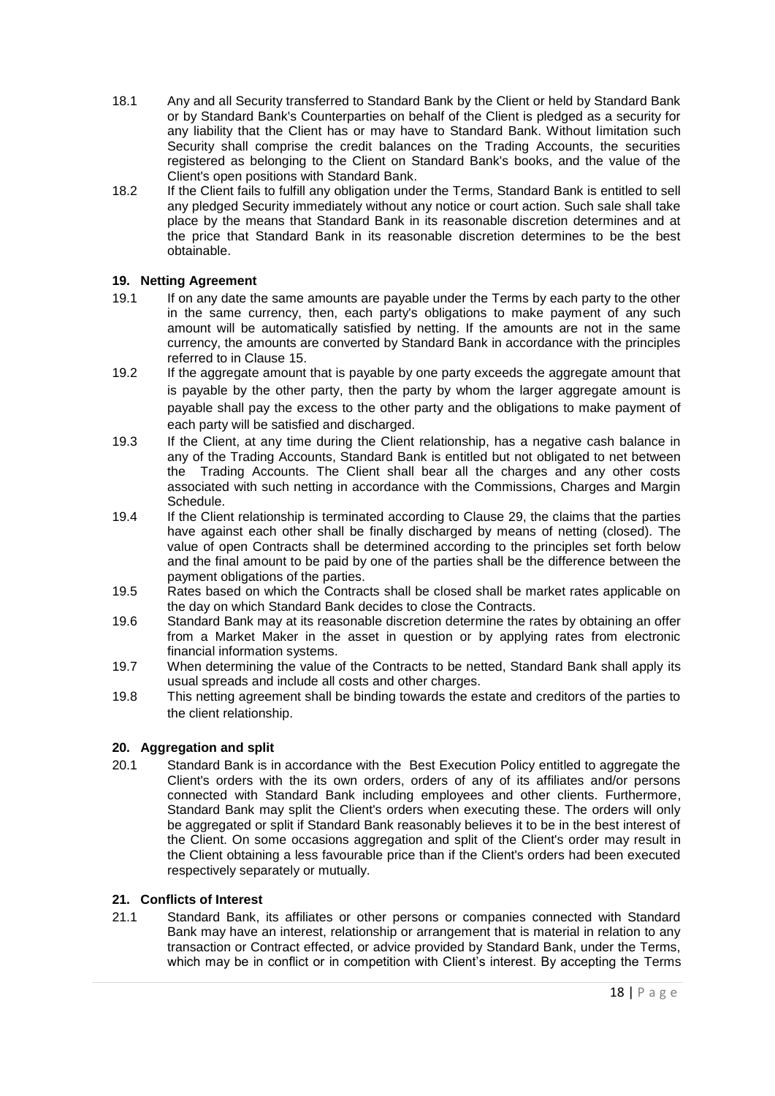- 18.1 Any and all Security transferred to Standard Bank by the Client or held by Standard Bank or by Standard Bank's Counterparties on behalf of the Client is pledged as a security for any liability that the Client has or may have to Standard Bank. Without limitation such Security shall comprise the credit balances on the Trading Accounts, the securities registered as belonging to the Client on Standard Bank's books, and the value of the Client's open positions with Standard Bank.
- 18.2 If the Client fails to fulfill any obligation under the Terms, Standard Bank is entitled to sell any pledged Security immediately without any notice or court action. Such sale shall take place by the means that Standard Bank in its reasonable discretion determines and at the price that Standard Bank in its reasonable discretion determines to be the best obtainable.

# <span id="page-17-0"></span>**19. Netting Agreement**

- 19.1 If on any date the same amounts are payable under the Terms by each party to the other in the same currency, then, each party's obligations to make payment of any such amount will be automatically satisfied by netting. If the amounts are not in the same currency, the amounts are converted by Standard Bank in accordance with the principles referred to in Clause [15.](#page-14-0)
- 19.2 If the aggregate amount that is payable by one party exceeds the aggregate amount that is payable by the other party, then the party by whom the larger aggregate amount is payable shall pay the excess to the other party and the obligations to make payment of each party will be satisfied and discharged.
- 19.3 If the Client, at any time during the Client relationship, has a negative cash balance in any of the Trading Accounts, Standard Bank is entitled but not obligated to net between the Trading Accounts. The Client shall bear all the charges and any other costs associated with such netting in accordance with the Commissions, Charges and Margin Schedule.
- 19.4 If the Client relationship is terminated according to Clause [29,](#page-23-0) the claims that the parties have against each other shall be finally discharged by means of netting (closed). The value of open Contracts shall be determined according to the principles set forth below and the final amount to be paid by one of the parties shall be the difference between the payment obligations of the parties.
- 19.5 Rates based on which the Contracts shall be closed shall be market rates applicable on the day on which Standard Bank decides to close the Contracts.
- 19.6 Standard Bank may at its reasonable discretion determine the rates by obtaining an offer from a Market Maker in the asset in question or by applying rates from electronic financial information systems.
- 19.7 When determining the value of the Contracts to be netted, Standard Bank shall apply its usual spreads and include all costs and other charges.
- 19.8 This netting agreement shall be binding towards the estate and creditors of the parties to the client relationship.

## **20. Aggregation and split**

20.1 Standard Bank is in accordance with the Best Execution Policy entitled to aggregate the Client's orders with the its own orders, orders of any of its affiliates and/or persons connected with Standard Bank including employees and other clients. Furthermore, Standard Bank may split the Client's orders when executing these. The orders will only be aggregated or split if Standard Bank reasonably believes it to be in the best interest of the Client. On some occasions aggregation and split of the Client's order may result in the Client obtaining a less favourable price than if the Client's orders had been executed respectively separately or mutually.

## **21. Conflicts of Interest**

21.1 Standard Bank, its affiliates or other persons or companies connected with Standard Bank may have an interest, relationship or arrangement that is material in relation to any transaction or Contract effected, or advice provided by Standard Bank, under the Terms, which may be in conflict or in competition with Client's interest. By accepting the Terms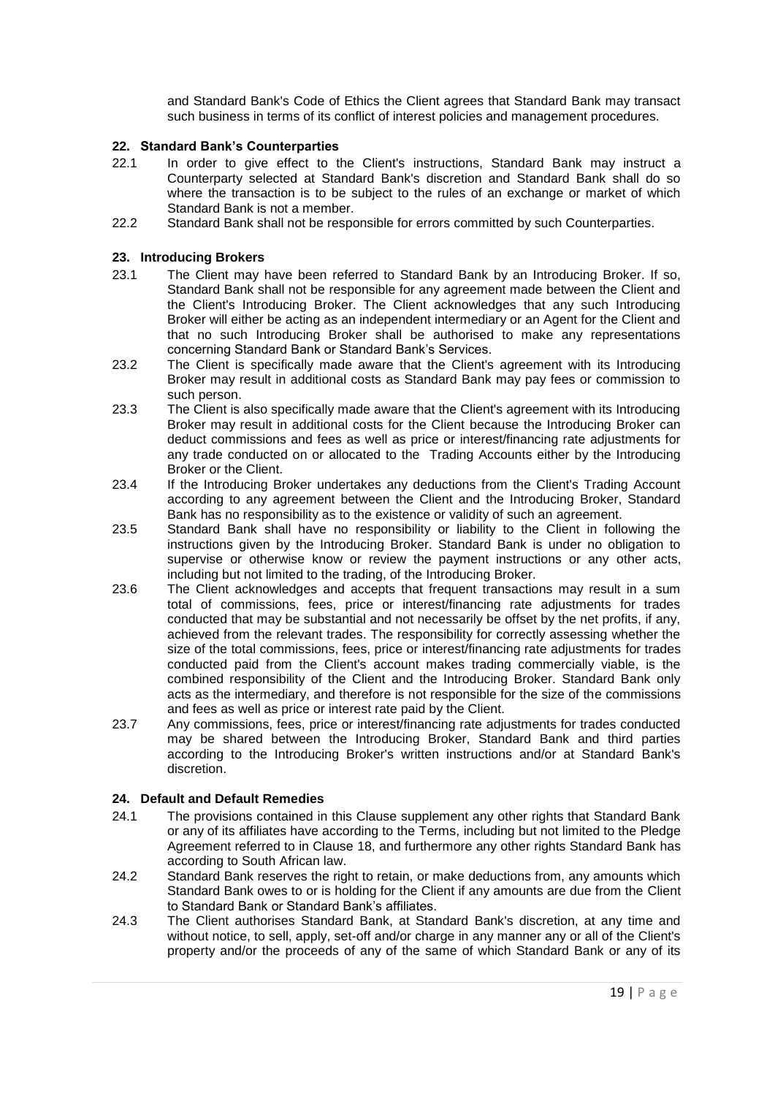and Standard Bank's Code of Ethics the Client agrees that Standard Bank may transact such business in terms of its conflict of interest policies and management procedures.

## **22. Standard Bank's Counterparties**

- 22.1 In order to give effect to the Client's instructions, Standard Bank may instruct a Counterparty selected at Standard Bank's discretion and Standard Bank shall do so where the transaction is to be subject to the rules of an exchange or market of which Standard Bank is not a member.
- 22.2 Standard Bank shall not be responsible for errors committed by such Counterparties.

# **23. Introducing Brokers**

- 23.1 The Client may have been referred to Standard Bank by an Introducing Broker. If so, Standard Bank shall not be responsible for any agreement made between the Client and the Client's Introducing Broker. The Client acknowledges that any such Introducing Broker will either be acting as an independent intermediary or an Agent for the Client and that no such Introducing Broker shall be authorised to make any representations concerning Standard Bank or Standard Bank's Services.
- 23.2 The Client is specifically made aware that the Client's agreement with its Introducing Broker may result in additional costs as Standard Bank may pay fees or commission to such person.
- 23.3 The Client is also specifically made aware that the Client's agreement with its Introducing Broker may result in additional costs for the Client because the Introducing Broker can deduct commissions and fees as well as price or interest/financing rate adjustments for any trade conducted on or allocated to the Trading Accounts either by the Introducing Broker or the Client.
- 23.4 If the Introducing Broker undertakes any deductions from the Client's Trading Account according to any agreement between the Client and the Introducing Broker, Standard Bank has no responsibility as to the existence or validity of such an agreement.
- 23.5 Standard Bank shall have no responsibility or liability to the Client in following the instructions given by the Introducing Broker. Standard Bank is under no obligation to supervise or otherwise know or review the payment instructions or any other acts, including but not limited to the trading, of the Introducing Broker.
- 23.6 The Client acknowledges and accepts that frequent transactions may result in a sum total of commissions, fees, price or interest/financing rate adjustments for trades conducted that may be substantial and not necessarily be offset by the net profits, if any, achieved from the relevant trades. The responsibility for correctly assessing whether the size of the total commissions, fees, price or interest/financing rate adjustments for trades conducted paid from the Client's account makes trading commercially viable, is the combined responsibility of the Client and the Introducing Broker. Standard Bank only acts as the intermediary, and therefore is not responsible for the size of the commissions and fees as well as price or interest rate paid by the Client.
- 23.7 Any commissions, fees, price or interest/financing rate adjustments for trades conducted may be shared between the Introducing Broker, Standard Bank and third parties according to the Introducing Broker's written instructions and/or at Standard Bank's discretion.

# <span id="page-18-0"></span>**24. Default and Default Remedies**

- 24.1 The provisions contained in this Clause supplement any other rights that Standard Bank or any of its affiliates have according to the Terms, including but not limited to the Pledge Agreement referred to in Clause [18,](#page-16-2) and furthermore any other rights Standard Bank has according to South African law.
- 24.2 Standard Bank reserves the right to retain, or make deductions from, any amounts which Standard Bank owes to or is holding for the Client if any amounts are due from the Client to Standard Bank or Standard Bank's affiliates.
- 24.3 The Client authorises Standard Bank, at Standard Bank's discretion, at any time and without notice, to sell, apply, set-off and/or charge in any manner any or all of the Client's property and/or the proceeds of any of the same of which Standard Bank or any of its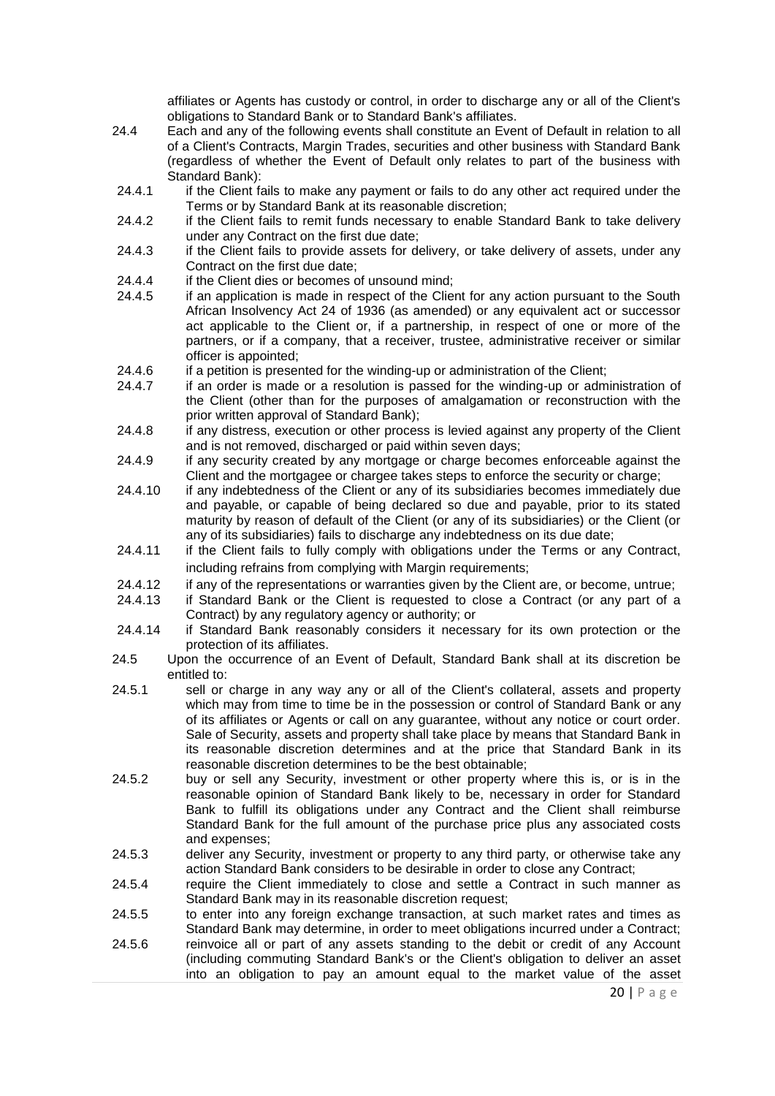affiliates or Agents has custody or control, in order to discharge any or all of the Client's obligations to Standard Bank or to Standard Bank's affiliates.

- 24.4 Each and any of the following events shall constitute an Event of Default in relation to all of a Client's Contracts, Margin Trades, securities and other business with Standard Bank (regardless of whether the Event of Default only relates to part of the business with Standard Bank):
- 24.4.1 if the Client fails to make any payment or fails to do any other act required under the Terms or by Standard Bank at its reasonable discretion;
- 24.4.2 if the Client fails to remit funds necessary to enable Standard Bank to take delivery under any Contract on the first due date;
- 24.4.3 if the Client fails to provide assets for delivery, or take delivery of assets, under any Contract on the first due date;
- 24.4.4 if the Client dies or becomes of unsound mind;
- 24.4.5 if an application is made in respect of the Client for any action pursuant to the South African Insolvency Act 24 of 1936 (as amended) or any equivalent act or successor act applicable to the Client or, if a partnership, in respect of one or more of the partners, or if a company, that a receiver, trustee, administrative receiver or similar officer is appointed;
- 24.4.6 if a petition is presented for the winding-up or administration of the Client;
- 24.4.7 if an order is made or a resolution is passed for the winding-up or administration of the Client (other than for the purposes of amalgamation or reconstruction with the prior written approval of Standard Bank);
- 24.4.8 if any distress, execution or other process is levied against any property of the Client and is not removed, discharged or paid within seven days;
- 24.4.9 if any security created by any mortgage or charge becomes enforceable against the Client and the mortgagee or chargee takes steps to enforce the security or charge;
- 24.4.10 if any indebtedness of the Client or any of its subsidiaries becomes immediately due and payable, or capable of being declared so due and payable, prior to its stated maturity by reason of default of the Client (or any of its subsidiaries) or the Client (or any of its subsidiaries) fails to discharge any indebtedness on its due date;
- 24.4.11 if the Client fails to fully comply with obligations under the Terms or any Contract, including refrains from complying with Margin requirements;
- 24.4.12 if any of the representations or warranties given by the Client are, or become, untrue;
- 24.4.13 if Standard Bank or the Client is requested to close a Contract (or any part of a Contract) by any regulatory agency or authority; or
- 24.4.14 if Standard Bank reasonably considers it necessary for its own protection or the protection of its affiliates.
- 24.5 Upon the occurrence of an Event of Default, Standard Bank shall at its discretion be entitled to:
- 24.5.1 sell or charge in any way any or all of the Client's collateral, assets and property which may from time to time be in the possession or control of Standard Bank or any of its affiliates or Agents or call on any guarantee, without any notice or court order. Sale of Security, assets and property shall take place by means that Standard Bank in its reasonable discretion determines and at the price that Standard Bank in its reasonable discretion determines to be the best obtainable;
- 24.5.2 buy or sell any Security, investment or other property where this is, or is in the reasonable opinion of Standard Bank likely to be, necessary in order for Standard Bank to fulfill its obligations under any Contract and the Client shall reimburse Standard Bank for the full amount of the purchase price plus any associated costs and expenses;
- 24.5.3 deliver any Security, investment or property to any third party, or otherwise take any action Standard Bank considers to be desirable in order to close any Contract;
- 24.5.4 require the Client immediately to close and settle a Contract in such manner as Standard Bank may in its reasonable discretion request;
- 24.5.5 to enter into any foreign exchange transaction, at such market rates and times as Standard Bank may determine, in order to meet obligations incurred under a Contract; 24.5.6 reinvoice all or part of any assets standing to the debit or credit of any Account (including commuting Standard Bank's or the Client's obligation to deliver an asset

into an obligation to pay an amount equal to the market value of the asset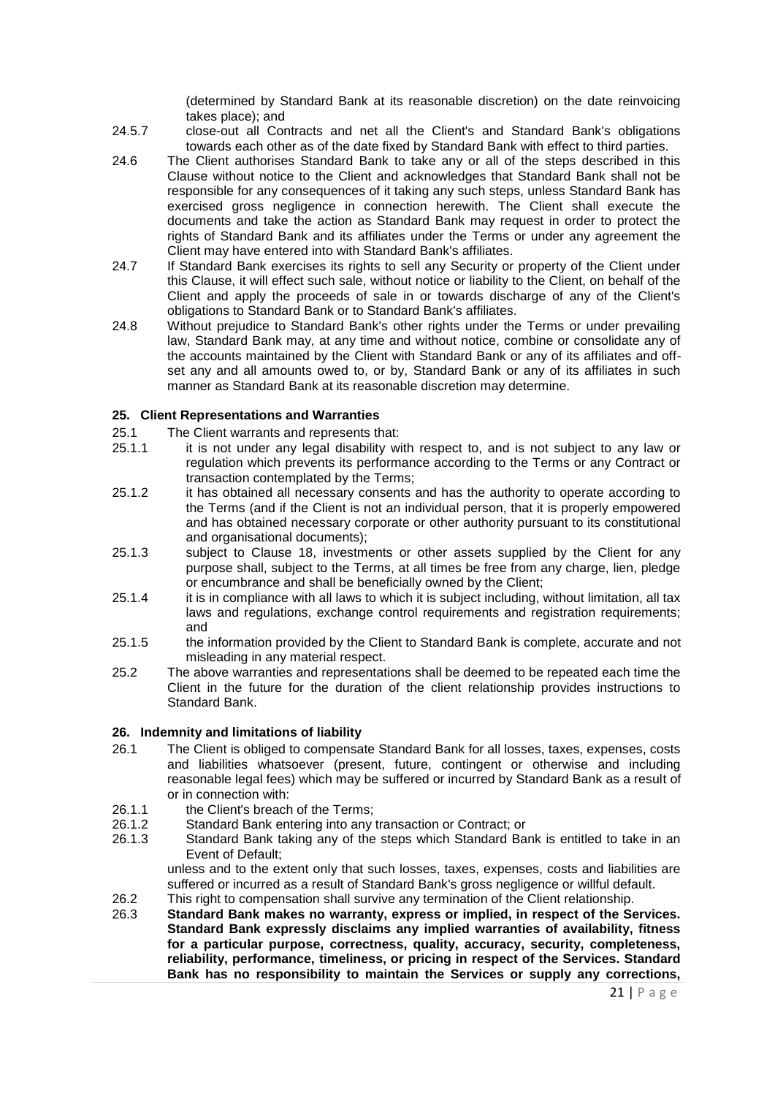(determined by Standard Bank at its reasonable discretion) on the date reinvoicing takes place); and

- 24.5.7 close-out all Contracts and net all the Client's and Standard Bank's obligations towards each other as of the date fixed by Standard Bank with effect to third parties.
- 24.6 The Client authorises Standard Bank to take any or all of the steps described in this Clause without notice to the Client and acknowledges that Standard Bank shall not be responsible for any consequences of it taking any such steps, unless Standard Bank has exercised gross negligence in connection herewith. The Client shall execute the documents and take the action as Standard Bank may request in order to protect the rights of Standard Bank and its affiliates under the Terms or under any agreement the Client may have entered into with Standard Bank's affiliates.
- 24.7 If Standard Bank exercises its rights to sell any Security or property of the Client under this Clause, it will effect such sale, without notice or liability to the Client, on behalf of the Client and apply the proceeds of sale in or towards discharge of any of the Client's obligations to Standard Bank or to Standard Bank's affiliates.
- 24.8 Without prejudice to Standard Bank's other rights under the Terms or under prevailing law, Standard Bank may, at any time and without notice, combine or consolidate any of the accounts maintained by the Client with Standard Bank or any of its affiliates and offset any and all amounts owed to, or by, Standard Bank or any of its affiliates in such manner as Standard Bank at its reasonable discretion may determine.

#### **25. Client Representations and Warranties**

- 25.1 The Client warrants and represents that:
- 25.1.1 it is not under any legal disability with respect to, and is not subject to any law or regulation which prevents its performance according to the Terms or any Contract or transaction contemplated by the Terms;
- 25.1.2 it has obtained all necessary consents and has the authority to operate according to the Terms (and if the Client is not an individual person, that it is properly empowered and has obtained necessary corporate or other authority pursuant to its constitutional and organisational documents);
- 25.1.3 subject to Clause [18,](#page-16-2) investments or other assets supplied by the Client for any purpose shall, subject to the Terms, at all times be free from any charge, lien, pledge or encumbrance and shall be beneficially owned by the Client;
- 25.1.4 it is in compliance with all laws to which it is subject including, without limitation, all tax laws and regulations, exchange control requirements and registration requirements; and
- 25.1.5 the information provided by the Client to Standard Bank is complete, accurate and not misleading in any material respect.
- 25.2 The above warranties and representations shall be deemed to be repeated each time the Client in the future for the duration of the client relationship provides instructions to Standard Bank.

## **26. Indemnity and limitations of liability**

- 26.1 The Client is obliged to compensate Standard Bank for all losses, taxes, expenses, costs and liabilities whatsoever (present, future, contingent or otherwise and including reasonable legal fees) which may be suffered or incurred by Standard Bank as a result of or in connection with:
- 26.1.1 the Client's breach of the Terms;<br>26.1.2 Standard Bank entering into any
- Standard Bank entering into any transaction or Contract; or
- 26.1.3 Standard Bank taking any of the steps which Standard Bank is entitled to take in an Event of Default;

unless and to the extent only that such losses, taxes, expenses, costs and liabilities are suffered or incurred as a result of Standard Bank's gross negligence or willful default.

- 26.2 This right to compensation shall survive any termination of the Client relationship.
- 26.3 **Standard Bank makes no warranty, express or implied, in respect of the Services. Standard Bank expressly disclaims any implied warranties of availability, fitness for a particular purpose, correctness, quality, accuracy, security, completeness, reliability, performance, timeliness, or pricing in respect of the Services. Standard Bank has no responsibility to maintain the Services or supply any corrections,**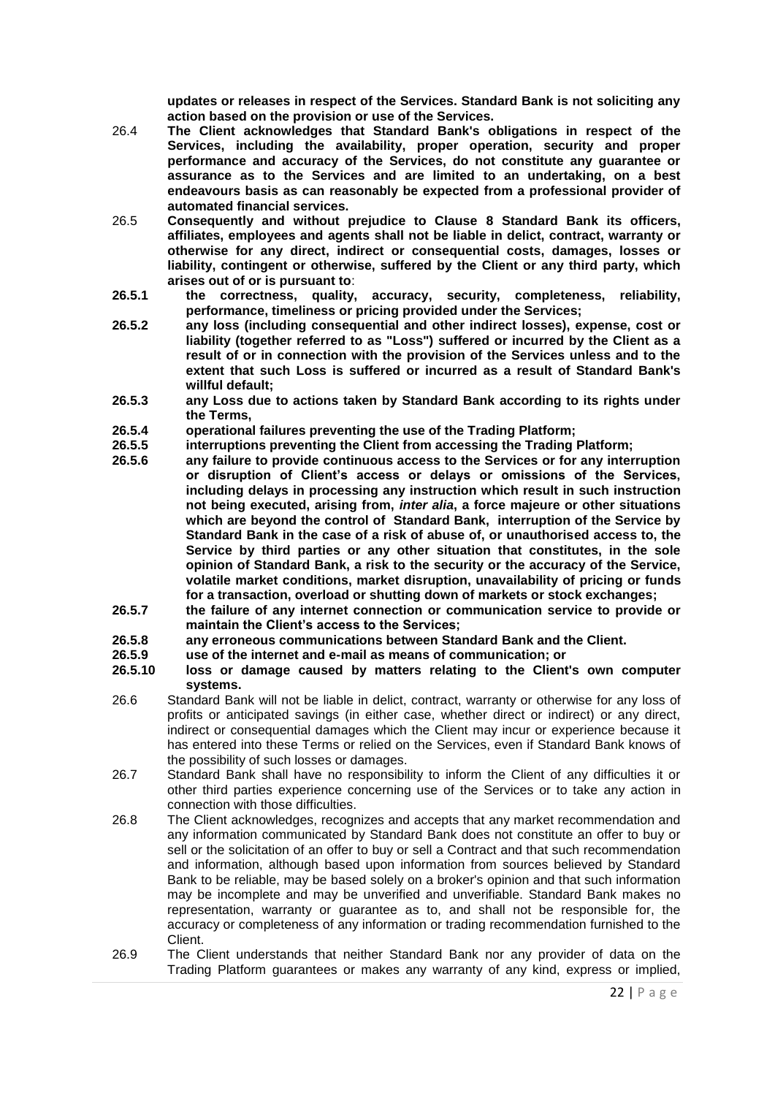**updates or releases in respect of the Services. Standard Bank is not soliciting any action based on the provision or use of the Services.**

- 26.4 **The Client acknowledges that Standard Bank's obligations in respect of the Services, including the availability, proper operation, security and proper performance and accuracy of the Services, do not constitute any guarantee or assurance as to the Services and are limited to an undertaking, on a best endeavours basis as can reasonably be expected from a professional provider of automated financial services.**
- <span id="page-21-0"></span>26.5 **Consequently and without prejudice to Clause [8](#page-8-0) Standard Bank its officers, affiliates, employees and agents shall not be liable in delict, contract, warranty or otherwise for any direct, indirect or consequential costs, damages, losses or liability, contingent or otherwise, suffered by the Client or any third party, which arises out of or is pursuant to**:
- **26.5.1 the correctness, quality, accuracy, security, completeness, reliability, performance, timeliness or pricing provided under the Services;**
- **26.5.2 any loss (including consequential and other indirect losses), expense, cost or liability (together referred to as "Loss") suffered or incurred by the Client as a result of or in connection with the provision of the Services unless and to the extent that such Loss is suffered or incurred as a result of Standard Bank's willful default;**
- **26.5.3 any Loss due to actions taken by Standard Bank according to its rights under the Terms,**
- **26.5.4 operational failures preventing the use of the Trading Platform;**
- **26.5.5 interruptions preventing the Client from accessing the Trading Platform;**
- **26.5.6 any failure to provide continuous access to the Services or for any interruption or disruption of Client's access or delays or omissions of the Services, including delays in processing any instruction which result in such instruction not being executed, arising from,** *inter alia***, a force majeure or other situations which are beyond the control of Standard Bank, interruption of the Service by Standard Bank in the case of a risk of abuse of, or unauthorised access to, the Service by third parties or any other situation that constitutes, in the sole opinion of Standard Bank, a risk to the security or the accuracy of the Service, volatile market conditions, market disruption, unavailability of pricing or funds for a transaction, overload or shutting down of markets or stock exchanges;**
- **26.5.7 the failure of any internet connection or communication service to provide or maintain the Client's access to the Services;**
- **26.5.8 any erroneous communications between Standard Bank and the Client.**
- **26.5.9 use of the internet and e-mail as means of communication; or**
- **26.5.10 loss or damage caused by matters relating to the Client's own computer systems.**
- 26.6 Standard Bank will not be liable in delict, contract, warranty or otherwise for any loss of profits or anticipated savings (in either case, whether direct or indirect) or any direct, indirect or consequential damages which the Client may incur or experience because it has entered into these Terms or relied on the Services, even if Standard Bank knows of the possibility of such losses or damages.
- 26.7 Standard Bank shall have no responsibility to inform the Client of any difficulties it or other third parties experience concerning use of the Services or to take any action in connection with those difficulties.
- 26.8 The Client acknowledges, recognizes and accepts that any market recommendation and any information communicated by Standard Bank does not constitute an offer to buy or sell or the solicitation of an offer to buy or sell a Contract and that such recommendation and information, although based upon information from sources believed by Standard Bank to be reliable, may be based solely on a broker's opinion and that such information may be incomplete and may be unverified and unverifiable. Standard Bank makes no representation, warranty or guarantee as to, and shall not be responsible for, the accuracy or completeness of any information or trading recommendation furnished to the Client.
- 26.9 The Client understands that neither Standard Bank nor any provider of data on the Trading Platform guarantees or makes any warranty of any kind, express or implied,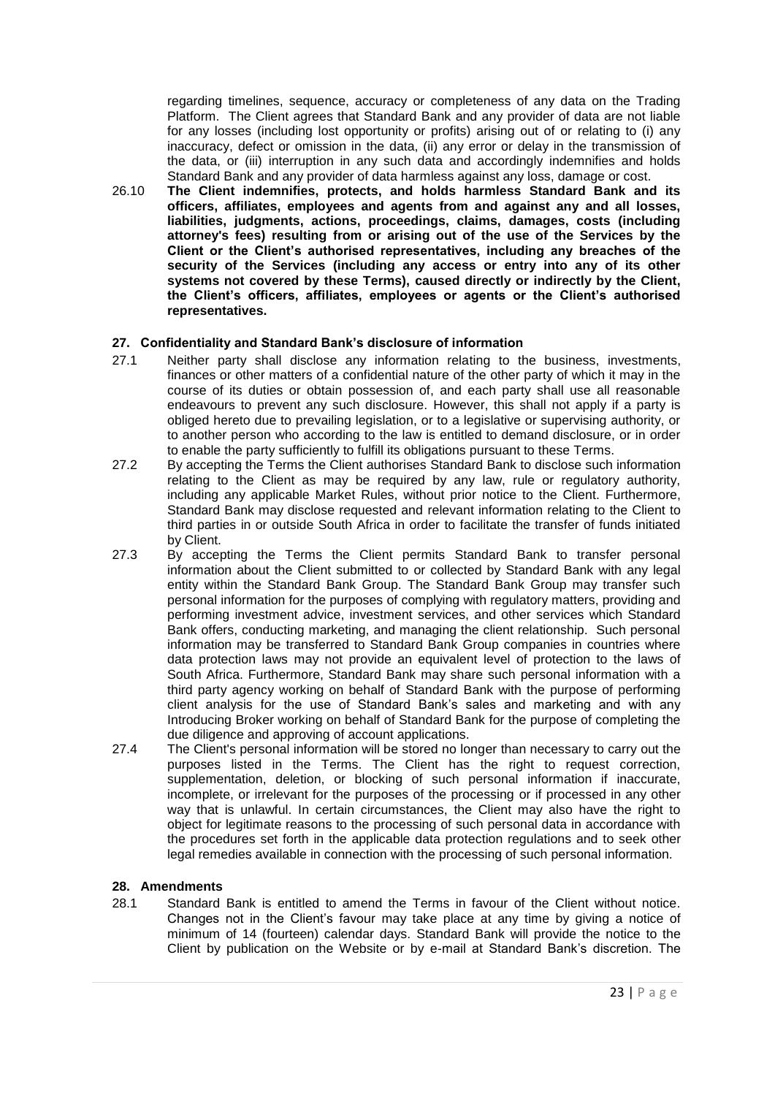regarding timelines, sequence, accuracy or completeness of any data on the Trading Platform. The Client agrees that Standard Bank and any provider of data are not liable for any losses (including lost opportunity or profits) arising out of or relating to (i) any inaccuracy, defect or omission in the data, (ii) any error or delay in the transmission of the data, or (iii) interruption in any such data and accordingly indemnifies and holds Standard Bank and any provider of data harmless against any loss, damage or cost.

26.10 **The Client indemnifies, protects, and holds harmless Standard Bank and its officers, affiliates, employees and agents from and against any and all losses, liabilities, judgments, actions, proceedings, claims, damages, costs (including attorney's fees) resulting from or arising out of the use of the Services by the Client or the Client's authorised representatives, including any breaches of the security of the Services (including any access or entry into any of its other systems not covered by these Terms), caused directly or indirectly by the Client, the Client's officers, affiliates, employees or agents or the Client's authorised representatives.**

# **27. Confidentiality and Standard Bank's disclosure of information**

- 27.1 Neither party shall disclose any information relating to the business, investments, finances or other matters of a confidential nature of the other party of which it may in the course of its duties or obtain possession of, and each party shall use all reasonable endeavours to prevent any such disclosure. However, this shall not apply if a party is obliged hereto due to prevailing legislation, or to a legislative or supervising authority, or to another person who according to the law is entitled to demand disclosure, or in order to enable the party sufficiently to fulfill its obligations pursuant to these Terms.
- 27.2 By accepting the Terms the Client authorises Standard Bank to disclose such information relating to the Client as may be required by any law, rule or regulatory authority, including any applicable Market Rules, without prior notice to the Client. Furthermore, Standard Bank may disclose requested and relevant information relating to the Client to third parties in or outside South Africa in order to facilitate the transfer of funds initiated by Client.
- 27.3 By accepting the Terms the Client permits Standard Bank to transfer personal information about the Client submitted to or collected by Standard Bank with any legal entity within the Standard Bank Group. The Standard Bank Group may transfer such personal information for the purposes of complying with regulatory matters, providing and performing investment advice, investment services, and other services which Standard Bank offers, conducting marketing, and managing the client relationship. Such personal information may be transferred to Standard Bank Group companies in countries where data protection laws may not provide an equivalent level of protection to the laws of South Africa. Furthermore, Standard Bank may share such personal information with a third party agency working on behalf of Standard Bank with the purpose of performing client analysis for the use of Standard Bank's sales and marketing and with any Introducing Broker working on behalf of Standard Bank for the purpose of completing the due diligence and approving of account applications.
- 27.4 The Client's personal information will be stored no longer than necessary to carry out the purposes listed in the Terms. The Client has the right to request correction, supplementation, deletion, or blocking of such personal information if inaccurate, incomplete, or irrelevant for the purposes of the processing or if processed in any other way that is unlawful. In certain circumstances, the Client may also have the right to object for legitimate reasons to the processing of such personal data in accordance with the procedures set forth in the applicable data protection regulations and to seek other legal remedies available in connection with the processing of such personal information.

## **28. Amendments**

28.1 Standard Bank is entitled to amend the Terms in favour of the Client without notice. Changes not in the Client's favour may take place at any time by giving a notice of minimum of 14 (fourteen) calendar days. Standard Bank will provide the notice to the Client by publication on the Website or by e-mail at Standard Bank's discretion. The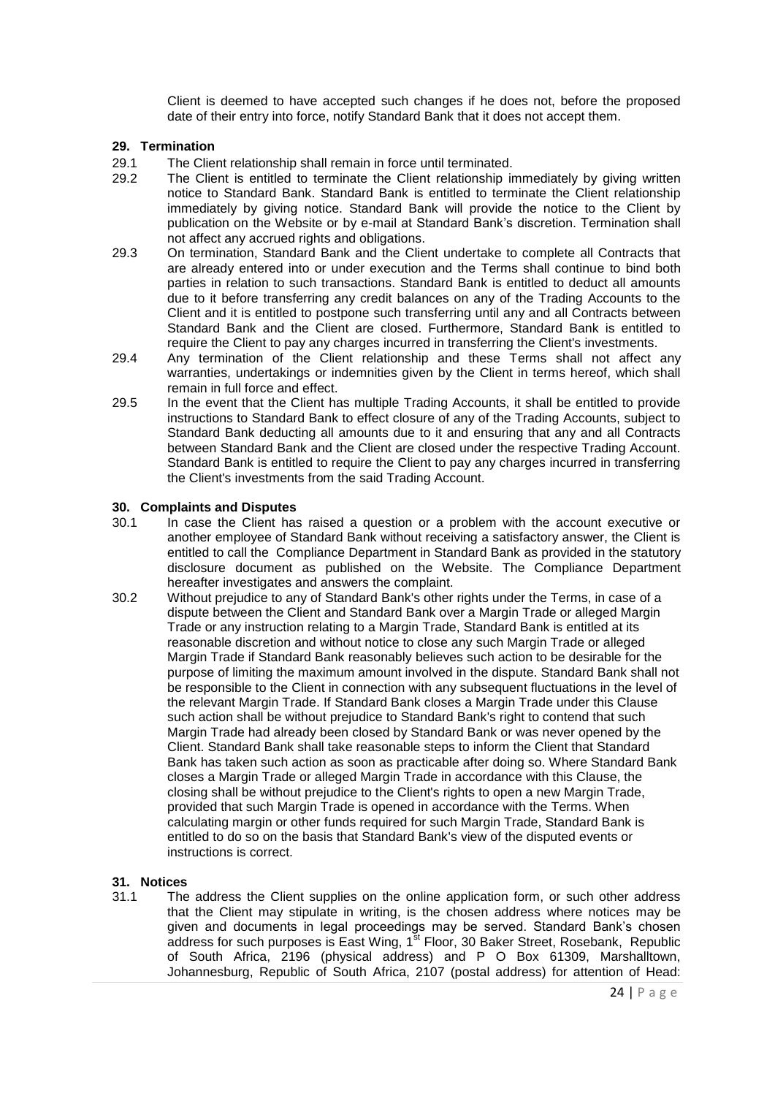Client is deemed to have accepted such changes if he does not, before the proposed date of their entry into force, notify Standard Bank that it does not accept them.

## <span id="page-23-0"></span>**29. Termination**

- 29.1 The Client relationship shall remain in force until terminated.
- 29.2 The Client is entitled to terminate the Client relationship immediately by giving written notice to Standard Bank. Standard Bank is entitled to terminate the Client relationship immediately by giving notice. Standard Bank will provide the notice to the Client by publication on the Website or by e-mail at Standard Bank's discretion. Termination shall not affect any accrued rights and obligations.
- 29.3 On termination, Standard Bank and the Client undertake to complete all Contracts that are already entered into or under execution and the Terms shall continue to bind both parties in relation to such transactions. Standard Bank is entitled to deduct all amounts due to it before transferring any credit balances on any of the Trading Accounts to the Client and it is entitled to postpone such transferring until any and all Contracts between Standard Bank and the Client are closed. Furthermore, Standard Bank is entitled to require the Client to pay any charges incurred in transferring the Client's investments.
- 29.4 Any termination of the Client relationship and these Terms shall not affect any warranties, undertakings or indemnities given by the Client in terms hereof, which shall remain in full force and effect.
- 29.5 In the event that the Client has multiple Trading Accounts, it shall be entitled to provide instructions to Standard Bank to effect closure of any of the Trading Accounts, subject to Standard Bank deducting all amounts due to it and ensuring that any and all Contracts between Standard Bank and the Client are closed under the respective Trading Account. Standard Bank is entitled to require the Client to pay any charges incurred in transferring the Client's investments from the said Trading Account.

#### **30. Complaints and Disputes**

- 30.1 In case the Client has raised a question or a problem with the account executive or another employee of Standard Bank without receiving a satisfactory answer, the Client is entitled to call the Compliance Department in Standard Bank as provided in the statutory disclosure document as published on the Website. The Compliance Department hereafter investigates and answers the complaint.
- 30.2 Without prejudice to any of Standard Bank's other rights under the Terms, in case of a dispute between the Client and Standard Bank over a Margin Trade or alleged Margin Trade or any instruction relating to a Margin Trade, Standard Bank is entitled at its reasonable discretion and without notice to close any such Margin Trade or alleged Margin Trade if Standard Bank reasonably believes such action to be desirable for the purpose of limiting the maximum amount involved in the dispute. Standard Bank shall not be responsible to the Client in connection with any subsequent fluctuations in the level of the relevant Margin Trade. If Standard Bank closes a Margin Trade under this Clause such action shall be without prejudice to Standard Bank's right to contend that such Margin Trade had already been closed by Standard Bank or was never opened by the Client. Standard Bank shall take reasonable steps to inform the Client that Standard Bank has taken such action as soon as practicable after doing so. Where Standard Bank closes a Margin Trade or alleged Margin Trade in accordance with this Clause, the closing shall be without prejudice to the Client's rights to open a new Margin Trade, provided that such Margin Trade is opened in accordance with the Terms. When calculating margin or other funds required for such Margin Trade, Standard Bank is entitled to do so on the basis that Standard Bank's view of the disputed events or instructions is correct.

## **31. Notices**

31.1 The address the Client supplies on the online application form, or such other address that the Client may stipulate in writing, is the chosen address where notices may be given and documents in legal proceedings may be served. Standard Bank's chosen address for such purposes is East Wing, 1<sup>st</sup> Floor, 30 Baker Street, Rosebank, Republic of South Africa, 2196 (physical address) and P O Box 61309, Marshalltown, Johannesburg, Republic of South Africa, 2107 (postal address) for attention of Head: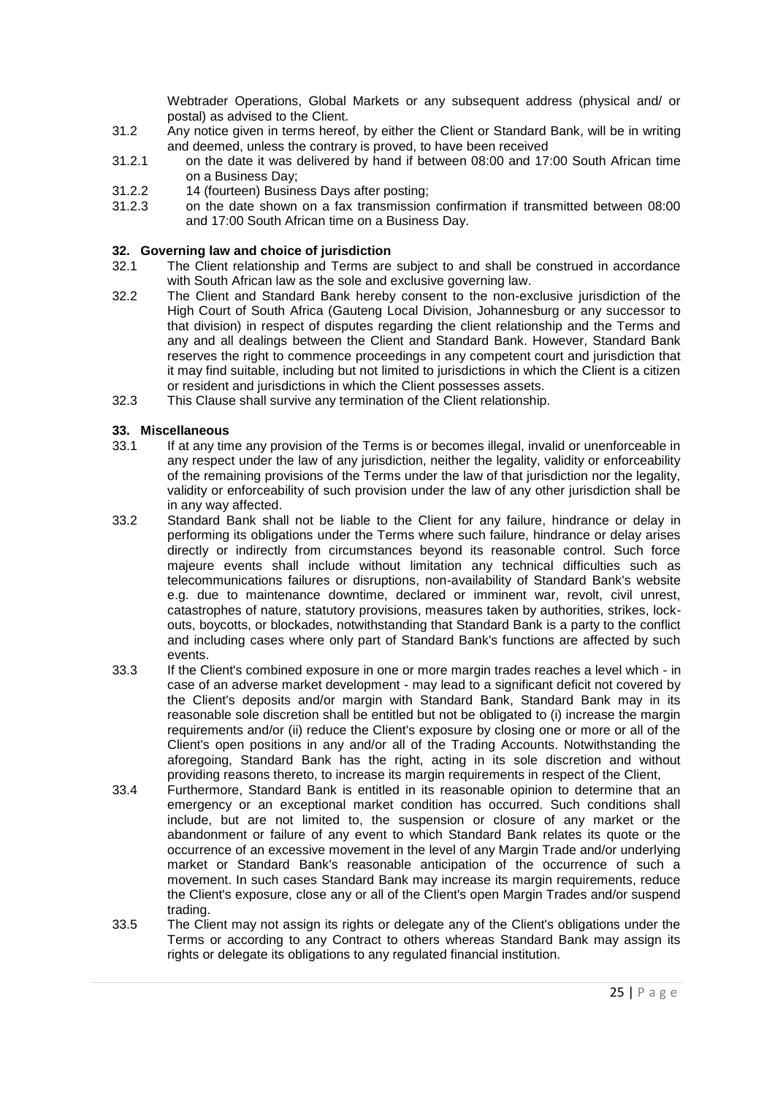Webtrader Operations, Global Markets or any subsequent address (physical and/ or postal) as advised to the Client.

- 31.2 Any notice given in terms hereof, by either the Client or Standard Bank, will be in writing and deemed, unless the contrary is proved, to have been received
- 31.2.1 on the date it was delivered by hand if between 08:00 and 17:00 South African time on a Business Day;
- 31.2.2 14 (fourteen) Business Days after posting;<br>31.2.3 on the date shown on a fax transmission
- 31.2.3 on the date shown on a fax transmission confirmation if transmitted between 08:00 and 17:00 South African time on a Business Day.

## **32. Governing law and choice of jurisdiction**

- 32.1 The Client relationship and Terms are subject to and shall be construed in accordance with South African law as the sole and exclusive governing law.
- 32.2 The Client and Standard Bank hereby consent to the non-exclusive jurisdiction of the High Court of South Africa (Gauteng Local Division, Johannesburg or any successor to that division) in respect of disputes regarding the client relationship and the Terms and any and all dealings between the Client and Standard Bank. However, Standard Bank reserves the right to commence proceedings in any competent court and jurisdiction that it may find suitable, including but not limited to jurisdictions in which the Client is a citizen or resident and jurisdictions in which the Client possesses assets.
- 32.3 This Clause shall survive any termination of the Client relationship.

# **33. Miscellaneous**

- 33.1 If at any time any provision of the Terms is or becomes illegal, invalid or unenforceable in any respect under the law of any jurisdiction, neither the legality, validity or enforceability of the remaining provisions of the Terms under the law of that jurisdiction nor the legality, validity or enforceability of such provision under the law of any other jurisdiction shall be in any way affected.
- <span id="page-24-0"></span>33.2 Standard Bank shall not be liable to the Client for any failure, hindrance or delay in performing its obligations under the Terms where such failure, hindrance or delay arises directly or indirectly from circumstances beyond its reasonable control. Such force majeure events shall include without limitation any technical difficulties such as telecommunications failures or disruptions, non-availability of Standard Bank's website e.g. due to maintenance downtime, declared or imminent war, revolt, civil unrest, catastrophes of nature, statutory provisions, measures taken by authorities, strikes, lockouts, boycotts, or blockades, notwithstanding that Standard Bank is a party to the conflict and including cases where only part of Standard Bank's functions are affected by such events.
- 33.3 If the Client's combined exposure in one or more margin trades reaches a level which in case of an adverse market development - may lead to a significant deficit not covered by the Client's deposits and/or margin with Standard Bank, Standard Bank may in its reasonable sole discretion shall be entitled but not be obligated to (i) increase the margin requirements and/or (ii) reduce the Client's exposure by closing one or more or all of the Client's open positions in any and/or all of the Trading Accounts. Notwithstanding the aforegoing, Standard Bank has the right, acting in its sole discretion and without providing reasons thereto, to increase its margin requirements in respect of the Client,
- 33.4 Furthermore, Standard Bank is entitled in its reasonable opinion to determine that an emergency or an exceptional market condition has occurred. Such conditions shall include, but are not limited to, the suspension or closure of any market or the abandonment or failure of any event to which Standard Bank relates its quote or the occurrence of an excessive movement in the level of any Margin Trade and/or underlying market or Standard Bank's reasonable anticipation of the occurrence of such a movement. In such cases Standard Bank may increase its margin requirements, reduce the Client's exposure, close any or all of the Client's open Margin Trades and/or suspend trading.
- 33.5 The Client may not assign its rights or delegate any of the Client's obligations under the Terms or according to any Contract to others whereas Standard Bank may assign its rights or delegate its obligations to any regulated financial institution.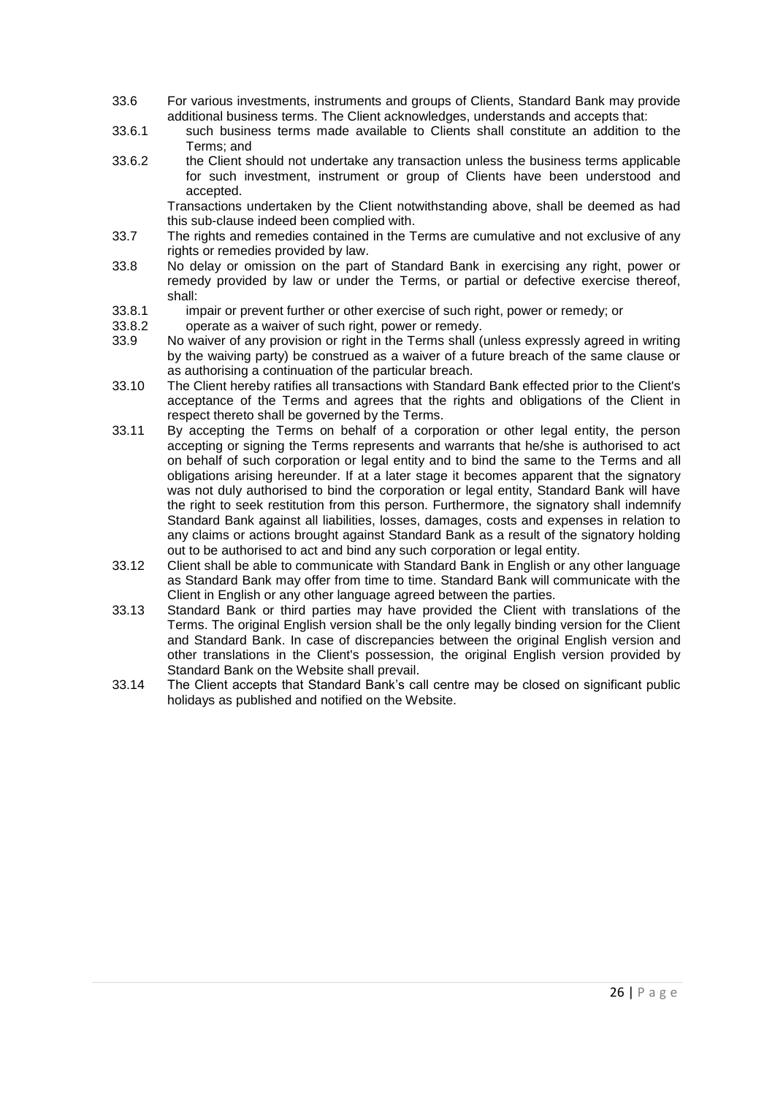- 33.6 For various investments, instruments and groups of Clients, Standard Bank may provide additional business terms. The Client acknowledges, understands and accepts that:
- 33.6.1 such business terms made available to Clients shall constitute an addition to the Terms; and
- 33.6.2 the Client should not undertake any transaction unless the business terms applicable for such investment, instrument or group of Clients have been understood and accepted.

Transactions undertaken by the Client notwithstanding above, shall be deemed as had this sub-clause indeed been complied with.

- 33.7 The rights and remedies contained in the Terms are cumulative and not exclusive of any rights or remedies provided by law.
- 33.8 No delay or omission on the part of Standard Bank in exercising any right, power or remedy provided by law or under the Terms, or partial or defective exercise thereof, shall:
- 33.8.1 impair or prevent further or other exercise of such right, power or remedy; or
- 33.8.2 operate as a waiver of such right, power or remedy.
- 33.9 No waiver of any provision or right in the Terms shall (unless expressly agreed in writing by the waiving party) be construed as a waiver of a future breach of the same clause or as authorising a continuation of the particular breach.
- 33.10 The Client hereby ratifies all transactions with Standard Bank effected prior to the Client's acceptance of the Terms and agrees that the rights and obligations of the Client in respect thereto shall be governed by the Terms.
- 33.11 By accepting the Terms on behalf of a corporation or other legal entity, the person accepting or signing the Terms represents and warrants that he/she is authorised to act on behalf of such corporation or legal entity and to bind the same to the Terms and all obligations arising hereunder. If at a later stage it becomes apparent that the signatory was not duly authorised to bind the corporation or legal entity, Standard Bank will have the right to seek restitution from this person. Furthermore, the signatory shall indemnify Standard Bank against all liabilities, losses, damages, costs and expenses in relation to any claims or actions brought against Standard Bank as a result of the signatory holding out to be authorised to act and bind any such corporation or legal entity.
- 33.12 Client shall be able to communicate with Standard Bank in English or any other language as Standard Bank may offer from time to time. Standard Bank will communicate with the Client in English or any other language agreed between the parties.
- 33.13 Standard Bank or third parties may have provided the Client with translations of the Terms. The original English version shall be the only legally binding version for the Client and Standard Bank. In case of discrepancies between the original English version and other translations in the Client's possession, the original English version provided by Standard Bank on the Website shall prevail.
- 33.14 The Client accepts that Standard Bank's call centre may be closed on significant public holidays as published and notified on the Website.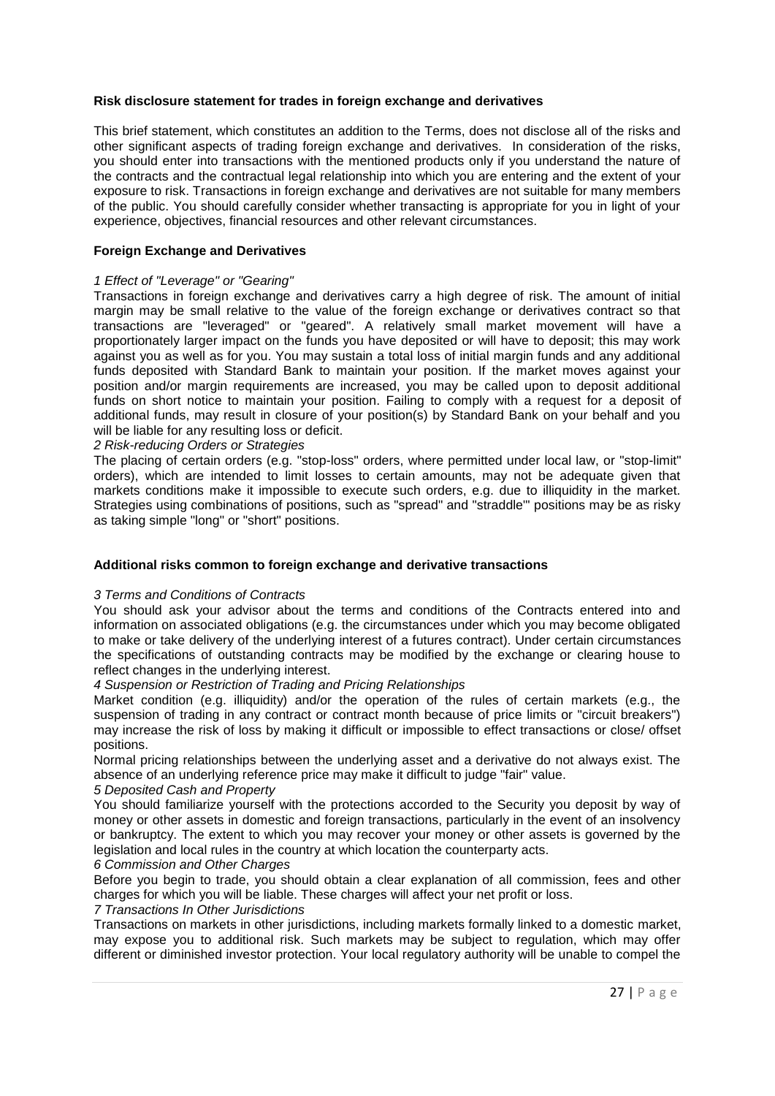#### **Risk disclosure statement for trades in foreign exchange and derivatives**

This brief statement, which constitutes an addition to the Terms, does not disclose all of the risks and other significant aspects of trading foreign exchange and derivatives. In consideration of the risks, you should enter into transactions with the mentioned products only if you understand the nature of the contracts and the contractual legal relationship into which you are entering and the extent of your exposure to risk. Transactions in foreign exchange and derivatives are not suitable for many members of the public. You should carefully consider whether transacting is appropriate for you in light of your experience, objectives, financial resources and other relevant circumstances.

#### **Foreign Exchange and Derivatives**

#### *1 Effect of "Leverage" or "Gearing"*

Transactions in foreign exchange and derivatives carry a high degree of risk. The amount of initial margin may be small relative to the value of the foreign exchange or derivatives contract so that transactions are "leveraged" or "geared". A relatively small market movement will have a proportionately larger impact on the funds you have deposited or will have to deposit; this may work against you as well as for you. You may sustain a total loss of initial margin funds and any additional funds deposited with Standard Bank to maintain your position. If the market moves against your position and/or margin requirements are increased, you may be called upon to deposit additional funds on short notice to maintain your position. Failing to comply with a request for a deposit of additional funds, may result in closure of your position(s) by Standard Bank on your behalf and you will be liable for any resulting loss or deficit.

#### *2 Risk-reducing Orders or Strategies*

The placing of certain orders (e.g. "stop-loss" orders, where permitted under local law, or "stop-limit" orders), which are intended to limit losses to certain amounts, may not be adequate given that markets conditions make it impossible to execute such orders, e.g. due to illiquidity in the market. Strategies using combinations of positions, such as "spread" and "straddle"' positions may be as risky as taking simple "long" or "short" positions.

#### **Additional risks common to foreign exchange and derivative transactions**

#### *3 Terms and Conditions of Contracts*

You should ask your advisor about the terms and conditions of the Contracts entered into and information on associated obligations (e.g. the circumstances under which you may become obligated to make or take delivery of the underlying interest of a futures contract). Under certain circumstances the specifications of outstanding contracts may be modified by the exchange or clearing house to reflect changes in the underlying interest.

#### *4 Suspension or Restriction of Trading and Pricing Relationships*

Market condition (e.g. illiquidity) and/or the operation of the rules of certain markets (e.g., the suspension of trading in any contract or contract month because of price limits or "circuit breakers") may increase the risk of loss by making it difficult or impossible to effect transactions or close/ offset positions.

Normal pricing relationships between the underlying asset and a derivative do not always exist. The absence of an underlying reference price may make it difficult to judge "fair" value.

#### *5 Deposited Cash and Property*

You should familiarize yourself with the protections accorded to the Security you deposit by way of money or other assets in domestic and foreign transactions, particularly in the event of an insolvency or bankruptcy. The extent to which you may recover your money or other assets is governed by the legislation and local rules in the country at which location the counterparty acts.

#### *6 Commission and Other Charges*

Before you begin to trade, you should obtain a clear explanation of all commission, fees and other charges for which you will be liable. These charges will affect your net profit or loss.

#### *7 Transactions In Other Jurisdictions*

Transactions on markets in other jurisdictions, including markets formally linked to a domestic market, may expose you to additional risk. Such markets may be subject to regulation, which may offer different or diminished investor protection. Your local regulatory authority will be unable to compel the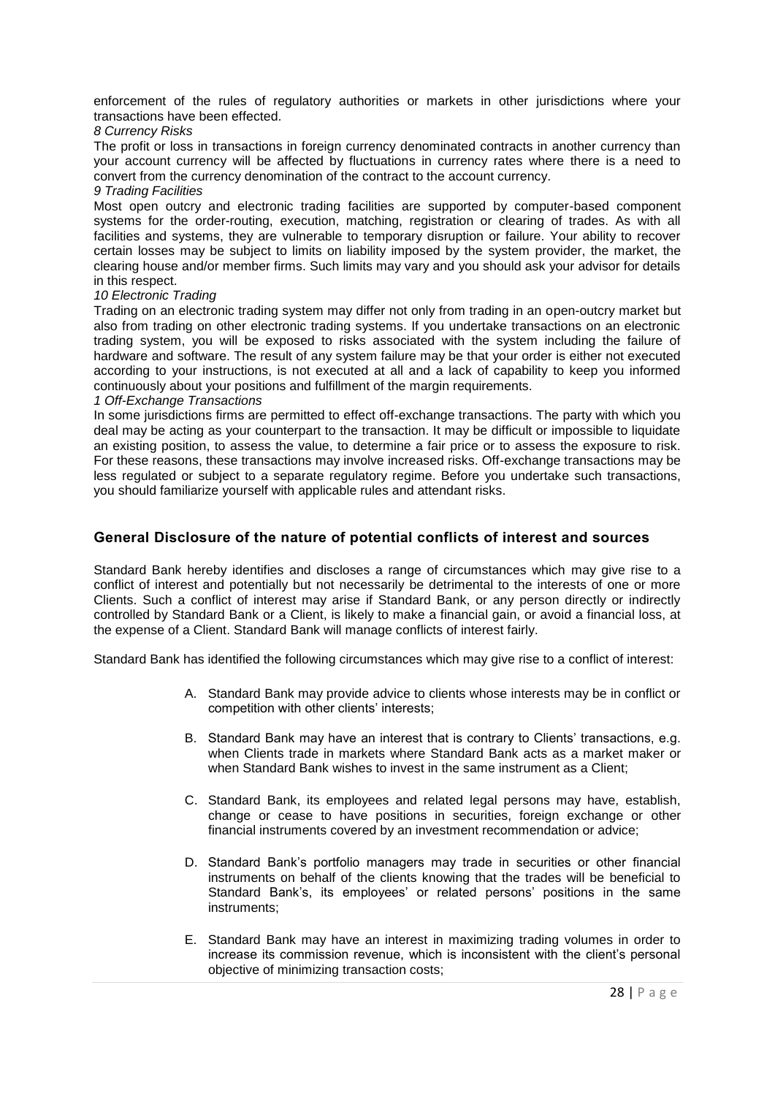enforcement of the rules of regulatory authorities or markets in other jurisdictions where your transactions have been effected.

#### *8 Currency Risks*

The profit or loss in transactions in foreign currency denominated contracts in another currency than your account currency will be affected by fluctuations in currency rates where there is a need to convert from the currency denomination of the contract to the account currency.

#### *9 Trading Facilities*

Most open outcry and electronic trading facilities are supported by computer-based component systems for the order-routing, execution, matching, registration or clearing of trades. As with all facilities and systems, they are vulnerable to temporary disruption or failure. Your ability to recover certain losses may be subject to limits on liability imposed by the system provider, the market, the clearing house and/or member firms. Such limits may vary and you should ask your advisor for details in this respect.

#### *10 Electronic Trading*

Trading on an electronic trading system may differ not only from trading in an open-outcry market but also from trading on other electronic trading systems. If you undertake transactions on an electronic trading system, you will be exposed to risks associated with the system including the failure of hardware and software. The result of any system failure may be that your order is either not executed according to your instructions, is not executed at all and a lack of capability to keep you informed continuously about your positions and fulfillment of the margin requirements.

#### *1 Off-Exchange Transactions*

In some jurisdictions firms are permitted to effect off-exchange transactions. The party with which you deal may be acting as your counterpart to the transaction. It may be difficult or impossible to liquidate an existing position, to assess the value, to determine a fair price or to assess the exposure to risk. For these reasons, these transactions may involve increased risks. Off-exchange transactions may be less regulated or subject to a separate regulatory regime. Before you undertake such transactions, you should familiarize yourself with applicable rules and attendant risks.

# **General Disclosure of the nature of potential conflicts of interest and sources**

Standard Bank hereby identifies and discloses a range of circumstances which may give rise to a conflict of interest and potentially but not necessarily be detrimental to the interests of one or more Clients. Such a conflict of interest may arise if Standard Bank, or any person directly or indirectly controlled by Standard Bank or a Client, is likely to make a financial gain, or avoid a financial loss, at the expense of a Client. Standard Bank will manage conflicts of interest fairly.

Standard Bank has identified the following circumstances which may give rise to a conflict of interest:

- A. Standard Bank may provide advice to clients whose interests may be in conflict or competition with other clients' interests;
- B. Standard Bank may have an interest that is contrary to Clients' transactions, e.g. when Clients trade in markets where Standard Bank acts as a market maker or when Standard Bank wishes to invest in the same instrument as a Client:
- C. Standard Bank, its employees and related legal persons may have, establish, change or cease to have positions in securities, foreign exchange or other financial instruments covered by an investment recommendation or advice;
- D. Standard Bank's portfolio managers may trade in securities or other financial instruments on behalf of the clients knowing that the trades will be beneficial to Standard Bank's, its employees' or related persons' positions in the same instruments;
- E. Standard Bank may have an interest in maximizing trading volumes in order to increase its commission revenue, which is inconsistent with the client's personal objective of minimizing transaction costs;